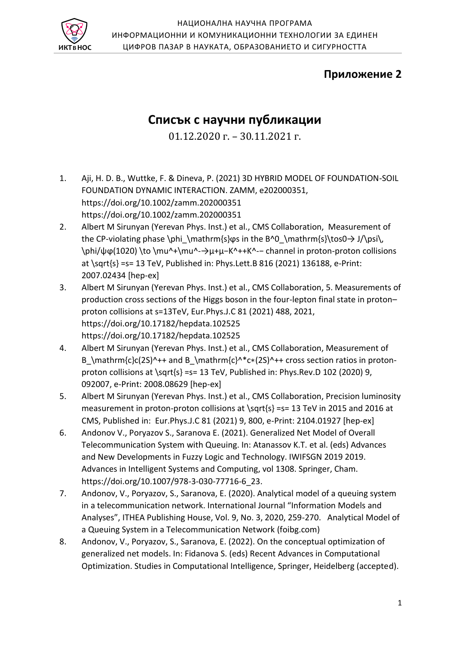

# **Приложение 2**

# **Списък с научни публикации**

01.12.2020 г. – 30.11.2021 г.

- 1. Aji, H. D. B., Wuttke, F. & Dineva, P. (2021) 3D HYBRID MODEL OF FOUNDATION-SOIL FOUNDATION DYNAMIC INTERACTION. ZAMM, e202000351, https://doi.org/10.1002/zamm.202000351 https://doi.org/10.1002/zamm.202000351
- 2. Albert M Sirunyan (Yerevan Phys. Inst.) et al., CMS Collaboration, Measurement of the CP-violating phase \phi\_\mathrm{s} $\varphi$ s in the B^0\_\mathrm{s}\tos0 $\rightarrow$  J/\psi\, \phi/ψϕ(1020) \to \mu^+\mu^-→μ+μ−K^++K^-− channel in proton-proton collisions at \sqrt{s} =s= 13 TeV, Published in: Phys.Lett.B 816 (2021) 136188, e-Print: 2007.02434 [hep-ex]
- 3. Albert M Sirunyan (Yerevan Phys. Inst.) et al., CMS Collaboration, 5. Measurements of production cross sections of the Higgs boson in the four-lepton final state in proton– proton collisions at s=13TeV, Eur.Phys.J.C 81 (2021) 488, 2021, https://doi.org/10.17182/hepdata.102525 https://doi.org/10.17182/hepdata.102525
- 4. Albert M Sirunyan (Yerevan Phys. Inst.) et al., CMS Collaboration, Measurement of B \mathrm{c}c(2S)^++ and B \mathrm{c}^\*c\*(2S)^++ cross section ratios in protonproton collisions at \sqrt{s} =s= 13 TeV, Published in: Phys.Rev.D 102 (2020) 9, 092007, e-Print: 2008.08629 [hep-ex]
- 5. Albert M Sirunyan (Yerevan Phys. Inst.) et al., CMS Collaboration, Precision luminosity measurement in proton-proton collisions at \sqrt{s} =s= 13 TeV in 2015 and 2016 at CMS, Published in: Eur.Phys.J.C 81 (2021) 9, 800, e-Print: 2104.01927 [hep-ex]
- 6. Andonov V., Poryazov S., Saranova E. (2021). Generalized Net Model of Overall Telecommunication System with Queuing. In: Atanassov K.T. et al. (eds) Advances and New Developments in Fuzzy Logic and Technology. IWIFSGN 2019 2019. Advances in Intelligent Systems and Computing, vol 1308. Springer, Cham. https://doi.org/10.1007/978-3-030-77716-6\_23.
- 7. Andonov, V., Poryazov, S., Saranova, E. (2020). Analytical model of a queuing system in a telecommunication network. International Journal "Information Models and Analyses", ITHEA Publishing House, Vol. 9, No. 3, 2020, 259-270. Analytical Model of a Queuing System in a Telecommunication Network (foibg.com)
- 8. Andonov, V., Poryazov, S., Saranova, E. (2022). On the conceptual optimization of generalized net models. In: Fidanova S. (eds) Recent Advances in Computational Optimization. Studies in Computational Intelligence, Springer, Heidelberg (accepted).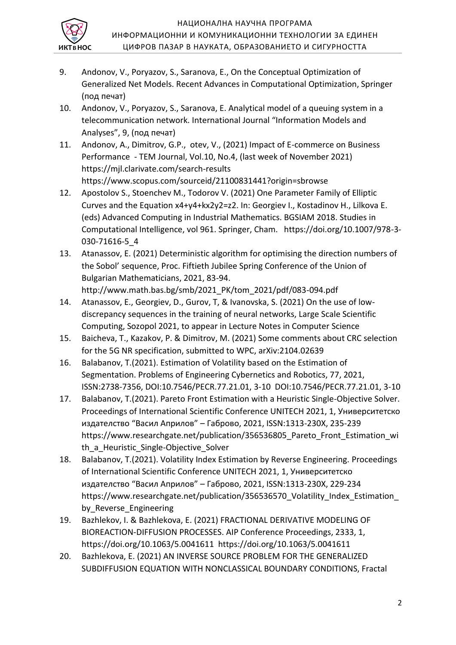

- 9. Andonov, V., Poryazov, S., Saranova, E., On the Conceptual Optimization of Generalized Net Models. Recent Advances in Computational Optimization, Springer (под печат)
- 10. Andonov, V., Poryazov, S., Saranova, E. Analytical model of a queuing system in a telecommunication network. International Journal "Information Models and Analyses", 9, (под печат)
- 11. Andonov, А., Dimitrov, G.P., otev, V., (2021) Impact of E-commerce on Business Performance - ТЕМ Journal, Vol.10, No.4, (last week of November 2021) https://mjl.clarivate.com/search-results https://www.scopus.com/sourceid/21100831441?origin=sbrowse
- 12. Apostolov S., Stoenchev M., Todorov V. (2021) One Parameter Family of Elliptic Curves and the Equation x4+y4+kx2y2=z2. In: Georgiev I., Kostadinov H., Lilkova E. (eds) Advanced Computing in Industrial Mathematics. BGSIAM 2018. Studies in Computational Intelligence, vol 961. Springer, Cham. https://doi.org/10.1007/978-3- 030-71616-5\_4
- 13. Atanassov, E. (2021) Deterministic algorithm for optimising the direction numbers of the Sobol' sequence, Proc. Fiftieth Jubilee Spring Conference of the Union of Bulgarian Mathematicians, 2021, 83-94. http://www.math.bas.bg/smb/2021\_PK/tom\_2021/pdf/083-094.pdf
- 14. Atanassov, E., Georgiev, D., Gurov, T, & Ivanovska, S. (2021) On the use of lowdiscrepancy sequences in the training of neural networks, Large Scale Scientific Computing, Sozopol 2021, to appear in Lecture Notes in Computer Sciencе
- 15. Baicheva, T., Kazakov, P. & Dimitrov, M. (2021) Some comments about CRC selection for the 5G NR specification, submitted to WPC, arXiv:2104.02639
- 16. Balabanov, T.(2021). Estimation of Volatility based on the Estimation of Segmentation. Problems of Engineering Cybernetics and Robotics, 77, 2021, ISSN:2738-7356, DOI:10.7546/PECR.77.21.01, 3-10 DOI:10.7546/PECR.77.21.01, 3-10
- 17. Balabanov, T.(2021). Pareto Front Estimation with a Heuristic Single-Objective Solver. Proceedings of International Scientific Conference UNITECH 2021, 1, Университетско издателство "Васил Априлов" – Габрово, 2021, ISSN:1313-230X, 235-239 https://www.researchgate.net/publication/356536805\_Pareto\_Front\_Estimation\_wi th\_a\_Heuristic\_Single-Objective\_Solver
- 18. Balabanov, T.(2021). Volatility Index Estimation by Reverse Engineering. Proceedings of International Scientific Conference UNITECH 2021, 1, Университетско издателство "Васил Априлов" – Габрово, 2021, ISSN:1313-230X, 229-234 https://www.researchgate.net/publication/356536570 Volatility Index Estimation by Reverse Engineering
- 19. Bazhlekov, I. & Bazhlekova, E. (2021) FRACTIONAL DERIVATIVE MODELING OF BIOREACTION-DIFFUSION PROCESSES. AIP Conference Proceedings, 2333, 1, https://doi.org/10.1063/5.0041611 https://doi.org/10.1063/5.0041611
- 20. Bazhlekova, E. (2021) AN INVERSE SOURCE PROBLEM FOR THE GENERALIZED SUBDIFFUSION EQUATION WITH NONCLASSICAL BOUNDARY CONDITIONS, Fractal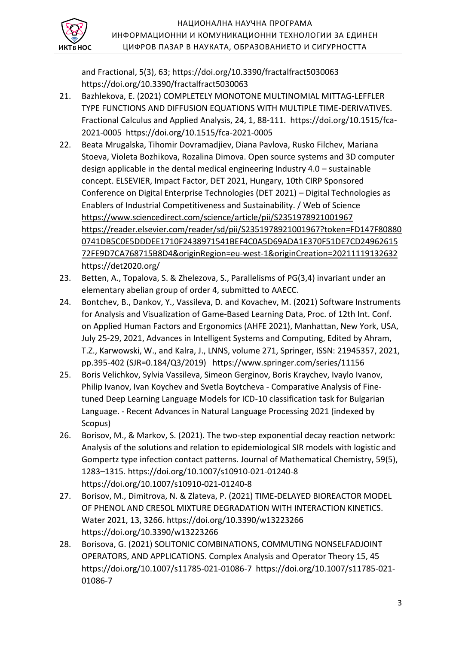

and Fractional, 5(3), 63; https://doi.org/10.3390/fractalfract5030063 https://doi.org/10.3390/fractalfract5030063

- 21. Bazhlekova, E. (2021) COMPLETELY MONOTONE MULTINOMIAL MITTAG-LEFFLER TYPE FUNCTIONS AND DIFFUSION EQUATIONS WITH MULTIPLE TIME-DERIVATIVES. Fractional Calculus and Applied Analysis, 24, 1, 88-111. https://doi.org/10.1515/fca-2021-0005 https://doi.org/10.1515/fca-2021-0005
- 22. Beata Mrugalska, Tihomir Dovramadjiev, Diana Pavlova, Rusko Filchev, Mariana Stoeva, Violeta Bozhikova, Rozalina Dimova. Open source systems and 3D computer design applicable in the dental medical engineering Industry 4.0 – sustainable concept. ELSEVIER, Impact Factor, DET 2021, Hungary, 10th CIRP Sponsored Conference on Digital Enterprise Technologies (DET 2021) – Digital Technologies as Enablers of Industrial Competitiveness and Sustainability. / Web of Science <https://www.sciencedirect.com/science/article/pii/S2351978921001967> [https://reader.elsevier.com/reader/sd/pii/S2351978921001967?token=FD147F80880](https://reader.elsevier.com/reader/sd/pii/S2351978921001967?token=FD147F808800741DB5C0E5DDDEE1710F2438971541BEF4C0A5D69ADA1E370F51DE7CD2496261572FE9D7CA768715B8D4&originRegion=eu-west-1&originCreation=20211119132632) [0741DB5C0E5DDDEE1710F2438971541BEF4C0A5D69ADA1E370F51DE7CD24962615](https://reader.elsevier.com/reader/sd/pii/S2351978921001967?token=FD147F808800741DB5C0E5DDDEE1710F2438971541BEF4C0A5D69ADA1E370F51DE7CD2496261572FE9D7CA768715B8D4&originRegion=eu-west-1&originCreation=20211119132632) [72FE9D7CA768715B8D4&originRegion=eu-west-1&originCreation=20211119132632](https://reader.elsevier.com/reader/sd/pii/S2351978921001967?token=FD147F808800741DB5C0E5DDDEE1710F2438971541BEF4C0A5D69ADA1E370F51DE7CD2496261572FE9D7CA768715B8D4&originRegion=eu-west-1&originCreation=20211119132632) https://det2020.org/
- 23. Betten, A., Topalova, S. & Zhelezova, S., Parallelisms of PG(3,4) invariant under an elementary abelian group of order 4, submitted to AAECC.
- 24. Bontchev, B., Dankov, Y., Vassileva, D. and Kovachev, M. (2021) Software Instruments for Analysis and Visualization of Game-Based Learning Data, Proc. of 12th Int. Conf. on Applied Human Factors and Ergonomics (AHFE 2021), Manhattan, New York, USA, July 25-29, 2021, Advances in Intelligent Systems and Computing, Edited by Ahram, T.Z., Karwowski, W., and Kalra, J., LNNS, volume 271, Springer, ISSN: 21945357, 2021, pp.395-402 (SJR=0.184/Q3/2019) https://www.springer.com/series/11156
- 25. Boris Velichkov, Sylvia Vassileva, Simeon Gerginov, Boris Kraychev, Ivaylo Ivanov, Philip Ivanov, Ivan Koychev and Svetla Boytcheva - Comparative Analysis of Finetuned Deep Learning Language Models for ICD-10 classification task for Bulgarian Language. - Recent Advances in Natural Language Processing 2021 (indexed by Scopus)
- 26. Borisov, M., & Markov, S. (2021). The two-step exponential decay reaction network: Analysis of the solutions and relation to epidemiological SIR models with logistic and Gompertz type infection contact patterns. Journal of Mathematical Chemistry, 59(5), 1283–1315. https://doi.org/10.1007/s10910-021-01240-8 https://doi.org/10.1007/s10910-021-01240-8
- 27. Borisov, M., Dimitrova, N. & Zlateva, P. (2021) TIME-DELAYED BIOREACTOR MODEL OF PHENOL AND CRESOL MIXTURE DEGRADATION WITH INTERACTION KINETICS. Water 2021, 13, 3266. https://doi.org/10.3390/w13223266 https://doi.org/10.3390/w13223266
- 28. Borisova, G. (2021) SOLITONIC COMBINATIONS, COMMUTING NONSELFADJOINT OPERATORS, AND APPLICATIONS. Complex Analysis and Operator Theory 15, 45 https://doi.org/10.1007/s11785-021-01086-7 https://doi.org/10.1007/s11785-021- 01086-7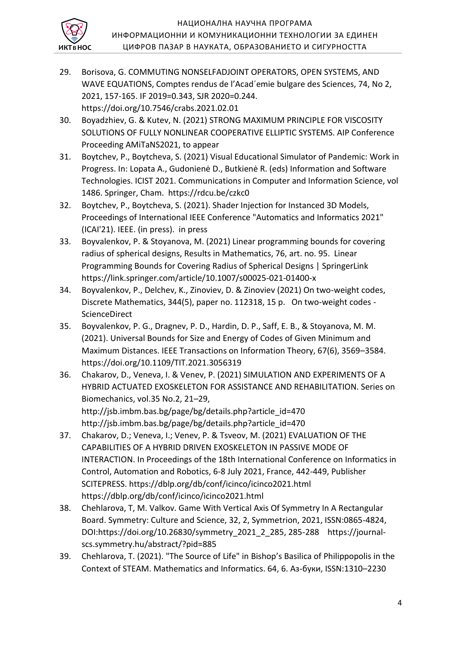

- 29. Borisova, G. COMMUTING NONSELFADJOINT OPERATORS, OPEN SYSTEMS, AND WAVE EQUATIONS, Comptes rendus de l'Acad´emie bulgare des Sciences, 74, No 2, 2021, 157-165. IF 2019=0.343, SJR 2020=0.244. https://doi.org/10.7546/crabs.2021.02.01
- 30. Boyadzhiev, G. & Kutev, N. (2021) STRONG MAXIMUM PRINCIPLE FOR VISCOSITY SOLUTIONS OF FULLY NONLINEAR COOPERATIVE ELLIPTIC SYSTEMS. AIP Conference Proceeding AMiTaNS2021, to appear
- 31. Boytchev, P., Boytcheva, S. (2021) Visual Educational Simulator of Pandemic: Work in Progress. In: Lopata A., Gudonienė D., Butkienė R. (eds) Information and Software Technologies. ICIST 2021. Communications in Computer and Information Science, vol 1486. Springer, Cham. https://rdcu.be/czkc0
- 32. Boytchev, P., Boytcheva, S. (2021). Shader Injection for Instanced 3D Models, Proceedings of International IEEE Conference "Automatics and Informatics 2021" (ICAI'21). IEEE. (in press). in press
- 33. Boyvalenkov, P. & Stoyanova, M. (2021) Linear programming bounds for covering radius of spherical designs, Results in Mathematics, 76, art. no. 95. Linear Programming Bounds for Covering Radius of Spherical Designs | SpringerLink https://link.springer.com/article/10.1007/s00025-021-01400-x
- 34. Boyvalenkov, P., Delchev, K., Zinoviev, D. & Zinoviev (2021) On two-weight codes, Discrete Mathematics, 344(5), paper no. 112318, 15 p. On two-weight codes - **ScienceDirect**
- 35. Boyvalenkov, P. G., Dragnev, P. D., Hardin, D. P., Saff, E. B., & Stoyanova, M. M. (2021). Universal Bounds for Size and Energy of Codes of Given Minimum and Maximum Distances. IEEE Transactions on Information Theory, 67(6), 3569–3584. https://doi.org/10.1109/TIT.2021.3056319
- 36. Chakarov, D., Veneva, I. & Venev, P. (2021) SIMULATION AND EXPERIMENTS OF A HYBRID ACTUATED EXOSKELETON FOR ASSISTANCE AND REHABILITATION. Series on Biomechanics, vol.35 No.2, 21–29, http://jsb.imbm.bas.bg/page/bg/details.php?article\_id=470 http://jsb.imbm.bas.bg/page/bg/details.php?article\_id=470
- 37. Chakarov, D.; Veneva, I.; Venev, P. & Tsveov, M. (2021) EVALUATION OF THE CAPABILITIES OF A HYBRID DRIVEN EXOSKELETON IN PASSIVE MODE OF INTERACTION. In Proceedings of the 18th International Conference on Informatics in Control, Automation and Robotics, 6-8 July 2021, France, 442-449, Publisher SCITEPRESS. https://dblp.org/db/conf/icinco/icinco2021.html https://dblp.org/db/conf/icinco/icinco2021.html
- 38. Chehlarova, T, M. Valkov. Game With Vertical Axis Of Symmetry In A Rectangular Board. Symmetry: Culture and Science, 32, 2, Symmetrion, 2021, ISSN:0865-4824, DOI:https://doi.org/10.26830/symmetry\_2021\_2\_285, 285-288 https://journalscs.symmetry.hu/abstract/?pid=885
- 39. Chehlarova, T. (2021). "The Source of Life" in Bishop's Basilica of Philippopolis in the Context of STEAM. Mathematics and Informatics. 64, 6. Аз-буки, ISSN:1310–2230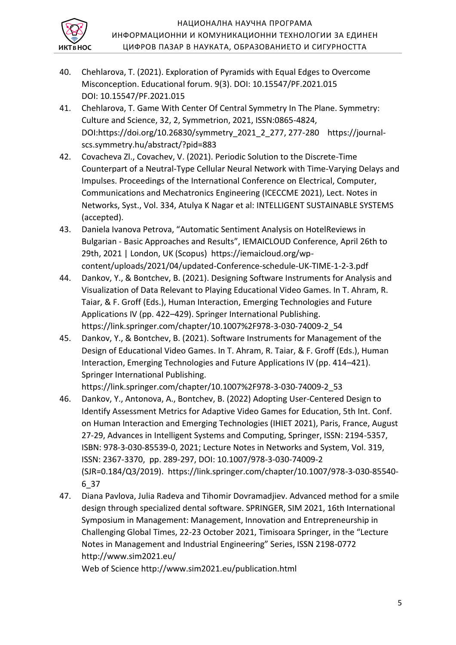

- 40. Chehlarova, T. (2021). Exploration of Pyramids with Equal Edges to Overcome Misconception. Educational forum. 9(3). DOI: 10.15547/PF.2021.015 DOI: 10.15547/PF.2021.015
- 41. Chehlarova, T. Game With Center Of Central Symmetry In The Plane. Symmetry: Culture and Science, 32, 2, Symmetrion, 2021, ISSN:0865-4824, DOI:https://doi.org/10.26830/symmetry\_2021\_2\_277, 277-280 https://journalscs.symmetry.hu/abstract/?pid=883
- 42. Covacheva Zl., Covachev, V. (2021). Periodic Solution to the Discrete-Time Counterpart of a Neutral-Type Cellular Neural Network with Time-Varying Delays and Impulses. Proceedings of the International Conference on Electrical, Computer, Communications and Mechatronics Engineering (ICECCME 2021), Lect. Notes in Networks, Syst., Vol. 334, Atulya K Nagar et al: INTELLIGENT SUSTAINABLE SYSTEMS (accepted).
- 43. Daniela Ivanova Petrova, "Automatic Sentiment Analysis on HotelReviews in Bulgarian - Basic Approaches and Results", IEMAICLOUD Conference, April 26th to 29th, 2021 | London, UK (Scopus) https://iemaicloud.org/wpcontent/uploads/2021/04/updated-Conference-schedule-UK-TIME-1-2-3.pdf
- 44. Dankov, Y., & Bontchev, B. (2021). Designing Software Instruments for Analysis and Visualization of Data Relevant to Playing Educational Video Games. In T. Ahram, R. Taiar, & F. Groff (Eds.), Human Interaction, Emerging Technologies and Future Applications IV (pp. 422–429). Springer International Publishing. https://link.springer.com/chapter/10.1007%2F978-3-030-74009-2\_54
- 45. Dankov, Y., & Bontchev, B. (2021). Software Instruments for Management of the Design of Educational Video Games. In T. Ahram, R. Taiar, & F. Groff (Eds.), Human Interaction, Emerging Technologies and Future Applications IV (pp. 414–421). Springer International Publishing.

https://link.springer.com/chapter/10.1007%2F978-3-030-74009-2\_53

- 46. Dankov, Y., Antonova, A., Bontchev, B. (2022) Adopting User-Centered Design to Identify Assessment Metrics for Adaptive Video Games for Education, 5th Int. Conf. on Human Interaction and Emerging Technologies (IHIET 2021), Paris, France, August 27-29, Advances in Intelligent Systems and Computing, Springer, ISSN: 2194-5357, ISBN: 978-3-030-85539-0, 2021; Lecture Notes in Networks and System, Vol. 319, ISSN: 2367-3370, pp. 289-297, DOI: 10.1007/978-3-030-74009-2 (SJR=0.184/Q3/2019). https://link.springer.com/chapter/10.1007/978-3-030-85540- 6\_37
- 47. Diana Pavlova, Julia Radeva and Tihomir Dovramadjiev. Advanced method for a smile design through specialized dental software. SPRINGER, SIM 2021, 16th International Symposium in Management: Management, Innovation and Entrepreneurship in Challenging Global Times, 22-23 October 2021, Timisoara Springer, in the "Lecture Notes in Management and Industrial Engineering" Series, ISSN 2198-0772 http://www.sim2021.eu/

Web of Science http://www.sim2021.eu/publication.html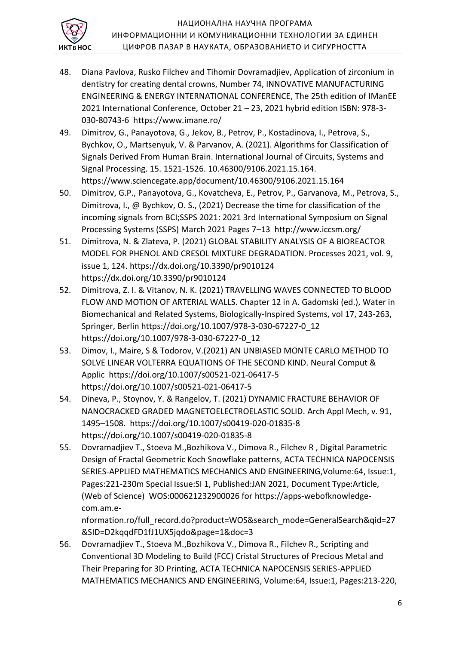

- 48. Diana Pavlova, Rusko Filchev and Tihomir Dovramadjiev, Application of zirconium in dentistry for creating dental crowns, Number 74, INNOVATIVE MANUFACTURING ENGINEERING & ENERGY INTERNATIONAL CONFERENCE, The 25th edition of IManEE 2021 International Conference, October 21 – 23, 2021 hybrid edition ISBN: 978-3- 030-80743-6 https://www.imane.ro/
- 49. Dimitrov, G., Panayotova, G., Jekov, B., Petrov, P., Kostadinova, I., Petrova, S., Bychkov, O., Martsenyuk, V. & Parvanov, A. (2021). Algorithms for Classification of Signals Derived From Human Brain. International Journal of Circuits, Systems and Signal Processing. 15. 1521-1526. 10.46300/9106.2021.15.164. https://www.sciencegate.app/document/10.46300/9106.2021.15.164
- 50. Dimitrov, G.P., Panayotova, G., Kovatcheva, E., Petrov, P., Garvanova, M., Petrova, S., Dimitrova, I., @ Bychkov, O. S., (2021) Decrease the time for classification of the incoming signals from BCI;SSPS 2021: 2021 3rd International Symposium on Signal Processing Systems (SSPS) March 2021 Pages 7–13 http://www.iccsm.org/
- 51. Dimitrova, N. & Zlateva, P. (2021) GLOBAL STABILITY ANALYSIS OF A BIOREACTOR MODEL FOR PHENOL AND CRESOL MIXTURE DEGRADATION. Processes 2021, vol. 9, issue 1, 124. https://dx.doi.org/10.3390/pr9010124 https://dx.doi.org/10.3390/pr9010124
- 52. Dimitrova, Z. I. & Vitanov, N. K. (2021) TRAVELLING WAVES CONNECTED TO BLOOD FLOW AND MOTION OF ARTERIAL WALLS. Chapter 12 in A. Gadomski (ed.), Water in Biomechanical and Related Systems, Biologically-Inspired Systems, vol 17, 243-263, Springer, Berlin https://doi.org/10.1007/978-3-030-67227-0\_12 https://doi.org/10.1007/978-3-030-67227-0\_12
- 53. Dimov, I., Maire, S & Todorov, V.(2021) AN UNBIASED MONTE CARLO METHOD TO SOLVE LINEAR VOLTERRA EQUATIONS OF THE SECOND KIND. Neural Comput & Applic https://doi.org/10.1007/s00521-021-06417-5 https://doi.org/10.1007/s00521-021-06417-5
- 54. Dineva, P., Stoynov, Y. & Rangelov, T. (2021) DYNAMIC FRACTURE BEHAVIOR OF NANOCRACKED GRADED MAGNETOELECTROELASTIC SOLID. Arch Appl Mech, v. 91, 1495–1508. https://doi.org/10.1007/s00419-020-01835-8 https://doi.org/10.1007/s00419-020-01835-8
- 55. Dovramadjiev T., Stoeva M.,Bozhikova V., Dimova R., Filchev R , Digital Parametric Design of Fractal Geometric Koch Snowflake patterns, ACTA TECHNICA NAPOCENSIS SERIES-APPLIED MATHEMATICS MECHANICS AND ENGINEERING,Volume:64, Issue:1, Pages:221-230m Special Issue:SI 1, Published:JAN 2021, Document Type:Article, (Web of Science) WOS:000621232900026 for https://apps-webofknowledgecom.am.e-

nformation.ro/full\_record.do?product=WOS&search\_mode=GeneralSearch&qid=27 &SID=D2kqqdFD1fJ1UX5jqdo&page=1&doc=3

56. Dovramadjiev T., Stoeva M.,Bozhikova V., Dimova R., Filchev R., Scripting and Conventional 3D Modeling to Build (FCC) Cristal Structures of Precious Metal and Their Preparing for 3D Printing, ACTA TECHNICA NAPOCENSIS SERIES-APPLIED MATHEMATICS MECHANICS AND ENGINEERING, Volume:64, Issue:1, Pages:213-220,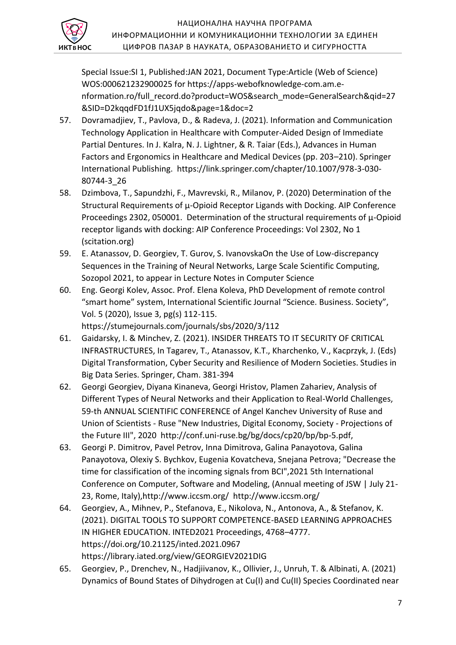

Special Issue:SI 1, Published:JAN 2021, Document Type:Article (Web of Science) WOS:000621232900025 for https://apps-webofknowledge-com.am.enformation.ro/full\_record.do?product=WOS&search\_mode=GeneralSearch&qid=27 &SID=D2kqqdFD1fJ1UX5jqdo&page=1&doc=2

- 57. Dovramadjiev, T., Pavlova, D., & Radeva, J. (2021). Information and Communication Technology Application in Healthcare with Computer-Aided Design of Immediate Partial Dentures. In J. Kalra, N. J. Lightner, & R. Taiar (Eds.), Advances in Human Factors and Ergonomics in Healthcare and Medical Devices (pp. 203–210). Springer International Publishing. https://link.springer.com/chapter/10.1007/978-3-030- 80744-3\_26
- 58. Dzimbova, T., Sapundzhi, F., Mavrevski, R., Milanov, P. (2020) Determination of the Structural Requirements of μ-Opioid Receptor Ligands with Docking. AIP Conference Proceedings 2302, 050001. Determination of the structural requirements of μ-Opioid receptor ligands with docking: AIP Conference Proceedings: Vol 2302, No 1 (scitation.org)
- 59. E. Atanassov, D. Georgiev, T. Gurov, S. IvanovskaOn the Use of Low-discrepancy Sequences in the Training of Neural Networks, Large Scale Scientific Computing, Sozopol 2021, to appear in Lecture Notes in Computer Sciencе
- 60. Eng. Georgi Kolev, Assoc. Prof. Elena Koleva, PhD Development of remote control "smart home" system, International Scientific Journal "Science. Business. Society", Vol. 5 (2020), Issue 3, pg(s) 112-115. https://stumejournals.com/journals/sbs/2020/3/112
- 61. Gaidarsky, I. & Minchev, Z. (2021). INSIDER THREATS TO IT SECURITY OF CRITICAL INFRASTRUCTURES, In Tagarev, T., Atanassov, K.T., Kharchenko, V., Kacprzyk, J. (Eds) Digital Transformation, Cyber Security and Resilience of Modern Societies. Studies in Big Data Series. Springer, Cham. 381-394
- 62. Georgi Georgiev, Diyana Kinaneva, Georgi Hristov, Plamen Zahariev, Analysis of Different Types of Neural Networks and their Application to Real-World Challenges, 59-th ANNUAL SCIENTIFIC CONFERENCE of Angel Kanchev University of Ruse and Union of Scientists - Ruse "New Industries, Digital Economy, Society - Projections of the Future III", 2020 http://conf.uni-ruse.bg/bg/docs/cp20/bp/bp-5.pdf,
- 63. Georgi P. Dimitrov, Pavel Petrov, Inna Dimitrova, Galina Panayotova, Galina Panayotova, Olexiy S. Bychkov, Eugenia Kovatcheva, Snejana Petrova; "Decrease the time for classification of the incoming signals from BCI",2021 5th International Conference on Computer, Software and Modeling, (Annual meeting of JSW | July 21- 23, Rome, Italy),http://www.iccsm.org/ http://www.iccsm.org/
- 64. Georgiev, A., Mihnev, P., Stefanova, E., Nikolova, N., Antonova, A., & Stefanov, K. (2021). DIGITAL TOOLS TO SUPPORT COMPETENCE-BASED LEARNING APPROACHES IN HIGHER EDUCATION. INTED2021 Proceedings, 4768–4777. https://doi.org/10.21125/inted.2021.0967 https://library.iated.org/view/GEORGIEV2021DIG
- 65. Georgiev, P., Drenchev, N., Hadjiivanov, K., Ollivier, J., Unruh, T. & Albinati, A. (2021) Dynamics of Bound States of Dihydrogen at Cu(I) and Cu(II) Species Coordinated near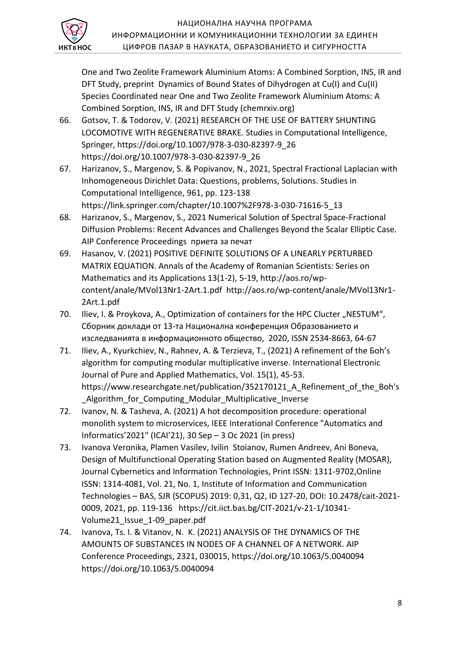

One and Two Zeolite Framework Aluminium Atoms: A Combined Sorption, INS, IR and DFT Study, preprint Dynamics of Bound States of Dihydrogen at Cu(I) and Cu(II) Species Coordinated near One and Two Zeolite Framework Aluminium Atoms: A Combined Sorption, INS, IR and DFT Study (chemrxiv.org)

- 66. Gotsov, T. & Todorov, V. (2021) RESEARCH OF THE USE OF BATTERY SHUNTING LOCOMOTIVE WITH REGENERATIVE BRAKE. Studies in Computational Intelligence, Springer, https://doi.org/10.1007/978-3-030-82397-9\_26 https://doi.org/10.1007/978-3-030-82397-9\_26
- 67. Harizanov, S., Margenov, S. & Popivanov, N., 2021, Spectral Fractional Laplacian with Inhomogeneous Dirichlet Data: Questions, problems, Solutions. Studies in Computational Intelligence, 961, pp. 123-138 https://link.springer.com/chapter/10.1007%2F978-3-030-71616-5\_13
- 68. Harizanov, S., Margenov, S., 2021 Numerical Solution of Spectral Space-Fractional Diffusion Problems: Recent Advances and Challenges Beyond the Scalar Elliptic Case. AIP Conference Proceedings приета за печат
- 69. Hasanov, V. (2021) POSITIVE DEFINITE SOLUTIONS OF A LINEARLY PERTURBED MATRIX EQUATION. Annals of the Academy of Romanian Scientists: Series on Mathematics and its Applications 13(1-2), 5-19, http://aos.ro/wpcontent/anale/MVol13Nr1-2Art.1.pdf http://aos.ro/wp-content/anale/MVol13Nr1- 2Art.1.pdf
- 70. Iliev, I. & Proykova, A., Optimization of containers for the HPC Clucter "NESTUM", Сборник доклади от 13-та Национална конференция Образованието и изследванията в информационното общество, 2020, ISSN 2534-8663, 64-67
- 71. Iliev, А., Kyurkchiev, N., Rahnev, A. & Terzieva, T., (2021) А refinement of the Бoh's algorithm for computing modular multiplicative inverse. International Electronic Journal of Pure and Applied Mathematics, Vol. 15(1), 45-53. https://www.researchgate.net/publication/352170121\_A\_Refinement\_of\_the\_Boh's Algorithm for Computing Modular Multiplicative Inverse
- 72. Ivanov, N. & Tasheva, A. (2021) A hot decomposition procedure: operational monolith system to microservices, IEEE Interational Conference "Automatics and Informatics'2021" (ICAI'21), 30 Sep – 3 Oc 2021 (in press)
- 73. Ivanova Veronika, Plamen Vasilev, Ivilin Stoianov, Rumen Andreev, Ani Boneva, Design of Multifunctional Operating Station based on Augmented Reality (MOSAR), Journal Cybernetics and Information Technologies, Print ISSN: 1311-9702,Online ISSN: 1314-4081, Vol. 21, No. 1, Institute of Information and Communication Technologies – BAS, SJR (SCOPUS) 2019: 0,31, Q2, ID 127-20, DOI: 10.2478/cait-2021- 0009, 2021, pp. 119-136 https://cit.iict.bas.bg/CIT-2021/v-21-1/10341- Volume21\_Issue\_1-09\_paper.pdf
- 74. Ivanova, Ts. I. & Vitanov, N. K. (2021) ANALYSIS OF THE DYNAMICS OF THE AMOUNTS OF SUBSTANCES IN NODES OF A CHANNEL OF A NETWORK. AIP Conference Proceedings, 2321, 030015, https://doi.org/10.1063/5.0040094 https://doi.org/10.1063/5.0040094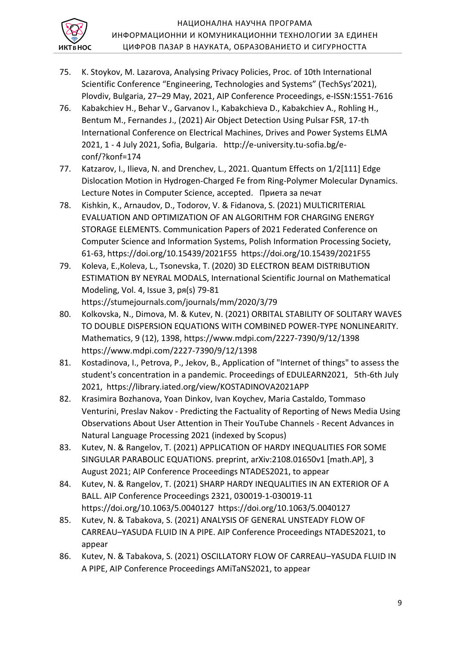

- 75. K. Stoykov, M. Lazarova, Analysing Privacy Policies, Proc. of 10th International Scientific Conference "Engineering, Technologies and Systems" (TechSys'2021), Plovdiv, Bulgaria, 27–29 May, 2021, AIP Conference Proceedings, e-ISSN:1551-7616
- 76. Kabakchiev H., Behar V., Garvanov I., Kabakchieva D., Kabakchiev A., Rohling H., Bentum M., Fernandes J., (2021) Air Object Detection Using Pulsar FSR, 17-th International Conference on Electrical Machines, Drives and Power Systems ELMA 2021, 1 - 4 July 2021, Sofia, Bulgaria. http://e-university.tu-sofia.bg/econf/?konf=174
- 77. Katzarov, I., Ilieva, N. and Drenchev, L., 2021. Quantum Effects on 1/2[111] Edge Dislocation Motion in Hydrogen-Charged Fe from Ring-Polymer Molecular Dynamics. Lecture Notes in Computer Science, accepted. Приета за печат
- 78. Kishkin, K., Arnaudov, D., Todorov, V. & Fidanova, S. (2021) MULTICRITERIAL EVALUATION AND OPTIMIZATION OF AN ALGORITHM FOR CHARGING ENERGY STORAGE ELEMENTS. Communication Papers of 2021 Federated Conference on Computer Science and Information Systems, Polish Information Processing Society, 61-63, https://doi.org/10.15439/2021F55 https://doi.org/10.15439/2021F55
- 79. Koleva, Е.,Коleva, L., Tsonevska, T. (2020) 3D ELECTRON BEAM DISTRIBUTION ESTIMATION BY NEYRAL MODALS, International Scientific Journal on Mathematical Modeling, Vol. 4, Issue 3, ря(s) 79-81 https://stumejournals.com/journals/mm/2020/3/79
- 80. Kolkovska, N., Dimova, M. & Kutev, N. (2021) ORBITAL STABILITY OF SOLITARY WAVES TO DOUBLE DISPERSION EQUATIONS WITH COMBINED POWER-TYPE NONLINEARITY. Mathematics, 9 (12), 1398, https://www.mdpi.com/2227-7390/9/12/1398 https://www.mdpi.com/2227-7390/9/12/1398
- 81. Kostadinova, I., Petrova, P., Jekov, B., Application of "Internet of things" to assess the student's concentration in a pandemic. Proceedings of EDULEARN2021, 5th-6th July 2021, https://library.iated.org/view/KOSTADINOVA2021APP
- 82. Krasimira Bozhanova, Yoan Dinkov, Ivan Koychev, Maria Castaldo, Tommaso Venturini, Preslav Nakov - Predicting the Factuality of Reporting of News Media Using Observations About User Attention in Their YouTube Channels - Recent Advances in Natural Language Processing 2021 (indexed by Scopus)
- 83. Kutev, N. & Rangelov, T. (2021) APPLICATION OF HARDY INEQUALITIES FOR SOME SINGULAR PARABOLIC EQUATIONS. preprint, arXiv:2108.01650v1 [math.AP], 3 August 2021; AIP Conference Proceedings NTADES2021, to appear
- 84. Kutev, N. & Rangelov, T. (2021) SHARP HARDY INEQUALITIES IN AN EXTERIOR OF A BALL. AIP Conference Proceedings 2321, 030019-1-030019-11 https://doi.org/10.1063/5.0040127 https://doi.org/10.1063/5.0040127
- 85. Kutev, N. & Tabakova, S. (2021) ANALYSIS OF GENERAL UNSTEADY FLOW OF CARREAU–YASUDA FLUID IN A PIPE. AIP Conference Proceedings NTADES2021, to appear
- 86. Kutev, N. & Tabakova, S. (2021) OSCILLATORY FLOW OF CARREAU–YASUDA FLUID IN A PIPE, AIP Conference Proceedings AMiTaNS2021, to appear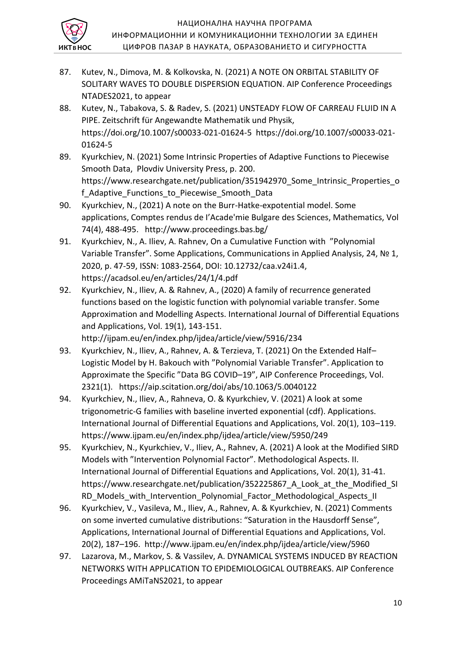

- 87. Kutev, N., Dimova, M. & Kolkovska, N. (2021) A NOTE ON ORBITAL STABILITY OF SOLITARY WAVES TO DOUBLE DISPERSION EQUATION. AIP Conference Proceedings NTADES2021, to appear
- 88. Kutev, N., Tabakova, S. & Radev, S. (2021) UNSTEADY FLOW OF CARREAU FLUID IN A PIPE. Zeitschrift für Angewandte Mathematik und Physik, https://doi.org/10.1007/s00033-021-01624-5 https://doi.org/10.1007/s00033-021- 01624-5
- 89. Kyurkchiev, N. (2021) Some Intrinsic Properties of Adaptive Functions to Piecewise Smooth Data, Plovdiv University Press, p. 200. https://www.researchgate.net/publication/351942970 Some Intrinsic Properties o f Adaptive Functions to Piecewise Smooth Data
- 90. Kyurkchiev, N., (2021) A note on the Burr-Hatke-expotential model. Some applications, Comptes rendus de I'Acade'mie Bulgare des Sciences, Mathematics, Vol 74(4), 488-495. http://www.proceedings.bas.bg/
- 91. Kyurkchiev, N., A. Iliev, A. Rahnev, On a Cumulative Function with "Polynomial Variable Transfer". Some Applications, Communications in Applied Analysis, 24, № 1, 2020, p. 47-59, ISSN: 1083-2564, DOI: 10.12732/caa.v24i1.4, https://acadsol.eu/en/articles/24/1/4.pdf
- 92. Kyurkchiev, N., Iliev, A. & Rahnev, A., (2020) A family of recurrence generated functions based on the logistic function with polynomial variable transfer. Some Approximation and Modelling Aspects. International Journal of Differential Equations and Applications, Vol. 19(1), 143-151. http://ijpam.eu/en/index.php/ijdea/article/view/5916/234
- 93. Kyurkchiev, N., Iliev, A., Rahnev, A. & Terzieva, T. (2021) On the Extended Half– Logistic Model by H. Bakouch with "Polynomial Variable Transfer". Application to Approximate the Specific "Data BG COVID–19", AIP Conference Proceedings, Vol. 2321(1). https://aip.scitation.org/doi/abs/10.1063/5.0040122
- 94. Kyurkchiev, N., Iliev, A., Rahneva, O. & Kyurkchiev, V. (2021) A look at some trigonometric-G families with baseline inverted exponential (cdf). Applications. International Journal of Differential Equations and Applications, Vol. 20(1), 103–119. https://www.ijpam.eu/en/index.php/ijdea/article/view/5950/249
- 95. Kyurkchiev, N., Kyurkchiev, V., Iliev, A., Rahnev, A. (2021) A look at the Modified SIRD Models with "Intervention Polynomial Factor". Methodological Aspects. II. International Journal of Differential Equations and Applications, Vol. 20(1), 31-41. https://www.researchgate.net/publication/352225867 A Look at the Modified SI RD Models with Intervention Polynomial Factor Methodological Aspects II
- 96. Kyurkchiev, V., Vasileva, M., Iliev, A., Rahnev, A. & Kyurkchiev, N. (2021) Comments on some inverted cumulative distributions: "Saturation in the Hausdorff Sense", Applications, International Journal of Differential Equations and Applications, Vol. 20(2), 187–196. http://www.ijpam.eu/en/index.php/ijdea/article/view/5960
- 97. Lazarova, M., Markov, S. & Vassilev, A. DYNAMICAL SYSTEMS INDUCED BY REACTION NETWORKS WITH APPLICATION TO EPIDEMIOLOGICAL OUTBREAKS. AIP Conference Proceedings AMiTaNS2021, to appear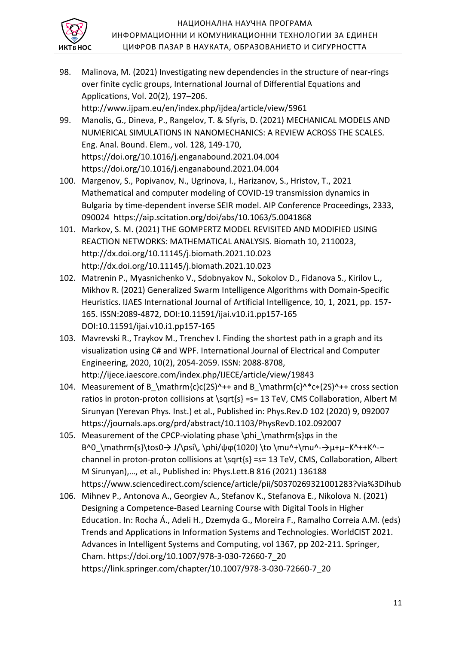

98. Malinova, M. (2021) Investigating new dependencies in the structure of near-rings over finite cyclic groups, International Journal of Differential Equations and Applications, Vol. 20(2), 197–206.

http://www.ijpam.eu/en/index.php/ijdea/article/view/5961

- 99. Manolis, G., Dineva, P., Rangelov, T. & Sfyris, D. (2021) MECHANICAL MODELS AND NUMERICAL SIMULATIONS IN NANOMECHANICS: A REVIEW ACROSS THE SCALES. Eng. Anal. Bound. Elem., vol. 128, 149-170, https://doi.org/10.1016/j.enganabound.2021.04.004 https://doi.org/10.1016/j.enganabound.2021.04.004
- 100. Margenov, S., Popivanov, N., Ugrinova, I., Harizanov, S., Hristov, T., 2021 Mathematical and computer modeling of COVID-19 transmission dynamics in Bulgaria by time-dependent inverse SEIR model. AIP Conference Proceedings, 2333, 090024 https://aip.scitation.org/doi/abs/10.1063/5.0041868
- 101. Markov, S. M. (2021) THE GOMPERTZ MODEL REVISITED AND MODIFIED USING REACTION NETWORKS: MATHEMATICAL ANALYSIS. Biomath 10, 2110023, http://dx.doi.org/10.11145/j.biomath.2021.10.023 http://dx.doi.org/10.11145/j.biomath.2021.10.023
- 102. Matrenin P., Myasnichenko V., Sdobnyakov N., Sokolov D., Fidanova S., Kirilov L., Mikhov R. (2021) Generalized Swarm Intelligence Algorithms with Domain-Specific Heuristics. IJAES International Journal of Artificial Intelligence, 10, 1, 2021, pp. 157- 165. ISSN:2089-4872, DOI:10.11591/ijai.v10.i1.pp157-165 DOI:10.11591/ijai.v10.i1.pp157-165
- 103. Mavrevski R., Traykov M., Trenchev I. Finding the shortest path in a graph and its visualization using C# and WPF. International Journal of Electrical and Computer Engineering, 2020, 10(2), 2054-2059. ISSN: 2088-8708, http://ijece.iaescore.com/index.php/IJECE/article/view/19843
- 104. Measurement of B\_\mathrm{c}c(2S)^++ and B\_\mathrm{c}^\*c\*(2S)^++ cross section ratios in proton-proton collisions at \sqrt{s} =s= 13 TeV, CMS Collaboration, Albert M Sirunyan (Yerevan Phys. Inst.) et al., Published in: Phys.Rev.D 102 (2020) 9, 092007 https://journals.aps.org/prd/abstract/10.1103/PhysRevD.102.092007
- 105. Measurement of the CPCP-violating phase \phi \mathrm{s}φs in the B^0\_\mathrm{s}\tos0→ J/\psi\, \phi/ψφ(1020) \to \mu^+\mu^-→μ+μ-K^++K^-channel in proton-proton collisions at \sqrt{s} =s= 13 TeV, CMS, Collaboration, Albert M Sirunyan),…, et al., Published in: Phys.Lett.B 816 (2021) 136188 https://www.sciencedirect.com/science/article/pii/S0370269321001283?via%3Dihub
- 106. Mihnev P., Antonova A., Georgiev A., Stefanov K., Stefanova E., Nikolova N. (2021) Designing a Competence-Based Learning Course with Digital Tools in Higher Education. In: Rocha Á., Adeli H., Dzemyda G., Moreira F., Ramalho Correia A.M. (eds) Trends and Applications in Information Systems and Technologies. WorldCIST 2021. Advances in Intelligent Systems and Computing, vol 1367, pp 202-211. Springer, Cham. https://doi.org/10.1007/978-3-030-72660-7\_20 https://link.springer.com/chapter/10.1007/978-3-030-72660-7\_20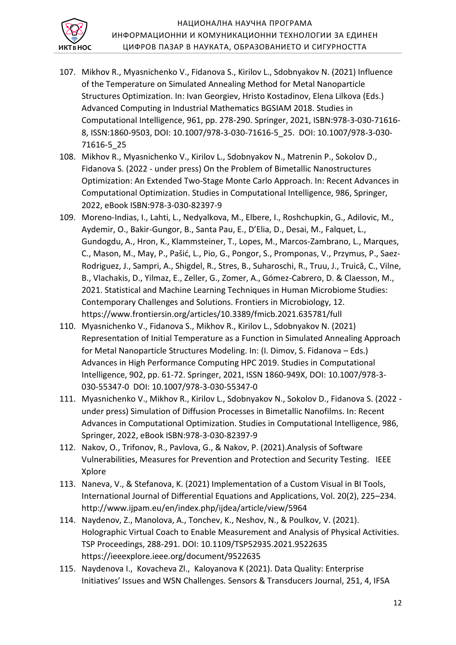

- 107. Mikhov R., Myasnichenko V., Fidanova S., Kirilov L., Sdobnyakov N. (2021) Influence of the Temperature on Simulated Annealing Method for Metal Nanoparticle Structures Optimization. In: Ivan Georgiev, Hristo Kostadinov, Elena Lilkova (Eds.) Advanced Computing in Industrial Mathematics BGSIAM 2018. Studies in Computational Intelligence, 961, pp. 278-290. Springer, 2021, ISBN:978-3-030-71616- 8, ISSN:1860-9503, DOI: 10.1007/978-3-030-71616-5\_25. DOI: 10.1007/978-3-030- 71616-5\_25
- 108. Mikhov R., Myasnichenko V., Kirilov L., Sdobnyakov N., Matrenin P., Sokolov D., Fidanova S. (2022 - under press) On the Problem of Bimetallic Nanostructures Optimization: An Extended Two-Stage Monte Carlo Approach. In: Recent Advances in Computational Optimization. Studies in Computational Intelligence, 986, Springer, 2022, eBook ISBN:978-3-030-82397-9
- 109. Moreno-Indias, I., Lahti, L., Nedyalkova, M., Elbere, I., Roshchupkin, G., Adilovic, M., Aydemir, O., Bakir-Gungor, B., Santa Pau, E., D'Elia, D., Desai, M., Falquet, L., Gundogdu, A., Hron, K., Klammsteiner, T., Lopes, M., Marcos-Zambrano, L., Marques, C., Mason, M., May, P., Pašić, L., Pio, G., Pongor, S., Promponas, V., Przymus, P., Saez-Rodriguez, J., Sampri, A., Shigdel, R., Stres, B., Suharoschi, R., Truu, J., Truică, C., Vilne, B., Vlachakis, D., Yilmaz, E., Zeller, G., Zomer, A., Gómez-Cabrero, D. & Claesson, M., 2021. Statistical and Machine Learning Techniques in Human Microbiome Studies: Contemporary Challenges and Solutions. Frontiers in Microbiology, 12. https://www.frontiersin.org/articles/10.3389/fmicb.2021.635781/full
- 110. Myasnichenko V., Fidanova S., Mikhov R., Kirilov L., Sdobnyakov N. (2021) Representation of Initial Temperature as a Function in Simulated Annealing Approach for Metal Nanoparticle Structures Modeling. In: (I. Dimov, S. Fidanova – Eds.) Advances in High Performance Computing HPC 2019. Studies in Computational Intelligence, 902, pp. 61-72. Springer, 2021, ISSN 1860-949X, DOI: 10.1007/978-3- 030-55347-0 DOI: 10.1007/978-3-030-55347-0
- 111. Myasnichenko V., Mikhov R., Kirilov L., Sdobnyakov N., Sokolov D., Fidanova S. (2022 under press) Simulation of Diffusion Processes in Bimetallic Nanofilms. In: Recent Advances in Computational Optimization. Studies in Computational Intelligence, 986, Springer, 2022, eBook ISBN:978-3-030-82397-9
- 112. Nakov, O., Trifonov, R., Pavlova, G., & Nakov, P. (2021).Analysis of Software Vulnerabilities, Measures for Prevention and Protection and Security Testing. IEEE Xplore
- 113. Naneva, V., & Stefanova, K. (2021) Implementation of a Custom Visual in BI Tools, International Journal of Differential Equations and Applications, Vol. 20(2), 225–234. http://www.ijpam.eu/en/index.php/ijdea/article/view/5964
- 114. Naydenov, Z., Manolova, A., Tonchev, K., Neshov, N., & Poulkov, V. (2021). Holographic Virtual Coach to Enable Measurement and Analysis of Physical Activities. TSP Proceedings, 288-291. DOI: 10.1109/TSP52935.2021.9522635 https://ieeexplore.ieee.org/document/9522635
- 115. Naydenova I., Kovacheva Zl., Kaloyanova K (2021). Data Quality: Enterprise Initiatives' Issues and WSN Challenges. Sensors & Transducers Journal, 251, 4, IFSA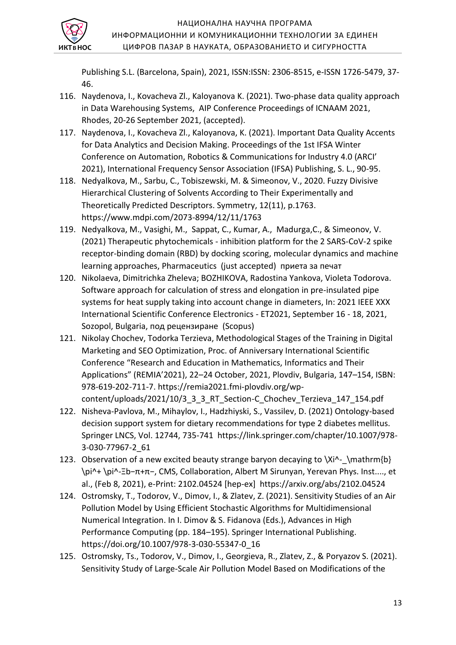

Publishing S.L. (Barcelona, Spain), 2021, ISSN:ISSN: 2306-8515, e-ISSN 1726-5479, 37- 46.

- 116. Naydenova, I., Kovacheva Zl., Kaloyanova K. (2021). Two-phase data quality approach in Data Warehousing Systems, AIP Conference Proceedings of ICNAAM 2021, Rhodes, 20-26 September 2021, (accepted).
- 117. Naydenova, I., Kovacheva Zl., Kaloyanova, K. (2021). Important Data Quality Accents for Data Analytics and Decision Making. Proceedings of the 1st IFSA Winter Conference on Automation, Robotics & Communications for Industry 4.0 (ARCI' 2021), International Frequency Sensor Association (IFSA) Publishing, S. L., 90-95.
- 118. Nedyalkova, M., Sarbu, C., Tobiszewski, M. & Simeonov, V., 2020. Fuzzy Divisive Hierarchical Clustering of Solvents According to Their Experimentally and Theoretically Predicted Descriptors. Symmetry, 12(11), p.1763. https://www.mdpi.com/2073-8994/12/11/1763
- 119. Nedyalkova, M., Vasighi, M., Sappat, С., Kumar, А., Madurga,С., & Simeonov, V. (2021) Therapeutic phytochemicals - inhibition platform for the 2 SARS-CoV-2 spike receptor-binding domain (RBD) by docking scoring, molecular dynamics and machine learning approaches, Pharmaceutics (just accepted) приета за печат
- 120. Nikolaeva, Dimitrichka Zheleva; BOZHIKOVA, Radostina Yankova, Violeta Todorova. Software approach for calculation of stress and elongation in pre-insulated pipe systems for heat supply taking into account change in diameters, In: 2021 IEEE XXX International Scientific Conference Electronics - ET2021, September 16 - 18, 2021, Sozopol, Bulgaria, под рецензиране (Scopus)
- 121. Nikolay Chochev, Todorka Terzieva, Methodological Stages of the Training in Digital Marketing and SEO Optimization, Proc. of Anniversary International Scientific Conference "Research and Education in Mathematics, Informatics and Their Applications" (REMIA'2021), 22–24 October, 2021, Plovdiv, Bulgaria, 147–154, ISBN: 978-619-202-711-7. https://remia2021.fmi-plovdiv.org/wpcontent/uploads/2021/10/3\_3\_3\_RT\_Section-C\_Chochev\_Terzieva\_147\_154.pdf
- 122. Nisheva-Pavlova, M., Mihaylov, I., Hadzhiyski, S., Vassilev, D. (2021) Ontology-based decision support system for dietary recommendations for type 2 diabetes mellitus. Springer LNCS, Vol. 12744, 735-741 https://link.springer.com/chapter/10.1007/978- 3-030-77967-2\_61
- 123. Observation of a new excited beauty strange baryon decaying to  $\Xi$  \mathrm{b} \pi^+ \pi^-Ξb−π+π−, CMS, Collaboration, Albert M Sirunyan, Yerevan Phys. Inst...., et al., (Feb 8, 2021), e-Print: 2102.04524 [hep-ex] https://arxiv.org/abs/2102.04524
- 124. Ostromsky, T., Todorov, V., Dimov, I., & Zlatev, Z. (2021). Sensitivity Studies of an Air Pollution Model by Using Efficient Stochastic Algorithms for Multidimensional Numerical Integration. In I. Dimov & S. Fidanova (Eds.), Advances in High Performance Computing (pp. 184–195). Springer International Publishing. https://doi.org/10.1007/978-3-030-55347-0\_16
- 125. Ostromsky, Ts., Todorov, V., Dimov, I., Georgieva, R., Zlatev, Z., & Poryazov S. (2021). Sensitivity Study of Large-Scale Air Pollution Model Based on Modifications of the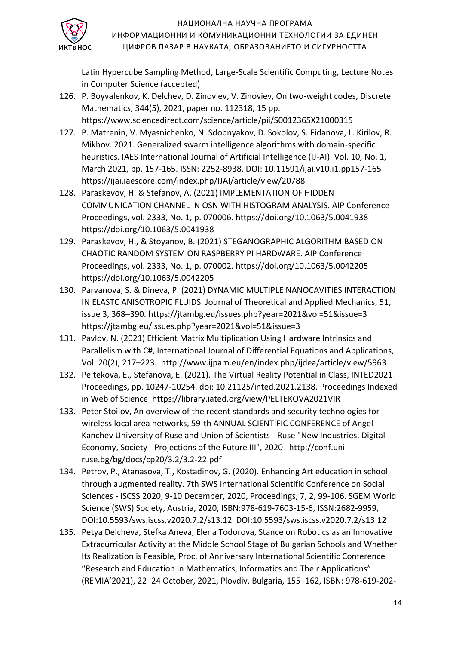

Latin Hypercube Sampling Method, Large-Scale Scientific Computing, Lecture Notes in Computer Science (accepted)

- 126. P. Boyvalenkov, K. Delchev, D. Zinoviev, V. Zinoviev, On two-weight codes, Discrete Mathematics, 344(5), 2021, paper no. 112318, 15 pp. https://www.sciencedirect.com/science/article/pii/S0012365X21000315
- 127. P. Matrenin, V. Myasnichenko, N. Sdobnyakov, D. Sokolov, S. Fidanova, L. Kirilov, R. Mikhov. 2021. Generalized swarm intelligence algorithms with domain-specific heuristics. IAES International Journal of Artificial Intelligence (IJ-AI). Vol. 10, No. 1, March 2021, pp. 157-165. ISSN: 2252-8938, DOI: 10.11591/ijai.v10.i1.pp157-165 https://ijai.iaescore.com/index.php/IJAI/article/view/20788
- 128. Paraskevov, H. & Stefanov, A. (2021) IMPLEMENTATION OF HIDDEN COMMUNICATION CHANNEL IN OSN WITH HISTOGRAM ANALYSIS. AIP Conference Proceedings, vol. 2333, No. 1, p. 070006. https://doi.org/10.1063/5.0041938 https://doi.org/10.1063/5.0041938
- 129. Paraskevov, H., & Stoyanov, B. (2021) STEGANOGRAPHIC ALGORITHM BASED ON CHAOTIC RANDOM SYSTEM ON RASPBERRY PI HARDWARE. AIP Conference Proceedings, vol. 2333, No. 1, p. 070002. https://doi.org/10.1063/5.0042205 https://doi.org/10.1063/5.0042205
- 130. Parvanova, S. & Dineva, P. (2021) DYNAMIC MULTIPLE NANOCAVITIES INTERACTION IN ELASTC ANISOTROPIC FLUIDS. Journal of Theoretical and Applied Mechanics, 51, issue 3, 368–390. https://jtambg.eu/issues.php?year=2021&vol=51&issue=3 https://jtambg.eu/issues.php?year=2021&vol=51&issue=3
- 131. Pavlov, N. (2021) Efficient Matrix Multiplication Using Hardware Intrinsics and Parallelism with C#, International Journal of Differential Equations and Applications, Vol. 20(2), 217–223. http://www.ijpam.eu/en/index.php/ijdea/article/view/5963
- 132. Peltekova, E., Stefanova, E. (2021). The Virtual Reality Potential in Class, INTED2021 Proceedings, pp. 10247-10254. doi: 10.21125/inted.2021.2138. Proceedings Indexed in Web of Science https://library.iated.org/view/PELTEKOVA2021VIR
- 133. Peter Stoilov, An overview of the recent standards and security technologies for wireless local area networks, 59-th ANNUAL SCIENTIFIC CONFERENCE of Angel Kanchev University of Ruse and Union of Scientists - Ruse "New Industries, Digital Economy, Society - Projections of the Future III", 2020 http://conf.uniruse.bg/bg/docs/cp20/3.2/3.2-22.pdf
- 134. Petrov, P., Atanasova, T., Kostadinov, G. (2020). Enhancing Art education in school through augmented reality. 7th SWS International Scientific Conference on Social Sciences - ISCSS 2020, 9-10 December, 2020, Proceedings, 7, 2, 99-106. SGEM World Science (SWS) Society, Austria, 2020, ISBN:978-619-7603-15-6, ISSN:2682-9959, DOI:10.5593/sws.iscss.v2020.7.2/s13.12 DOI:10.5593/sws.iscss.v2020.7.2/s13.12
- 135. Petya Delcheva, Stefka Aneva, Elena Todorova, Stance on Robotics as an Innovative Extracurricular Activity at the Middle School Stage of Bulgarian Schools and Whether Its Realization is Feasible, Proc. of Anniversary International Scientific Conference "Research and Education in Mathematics, Informatics and Their Applications" (REMIA'2021), 22–24 October, 2021, Plovdiv, Bulgaria, 155–162, ISBN: 978-619-202-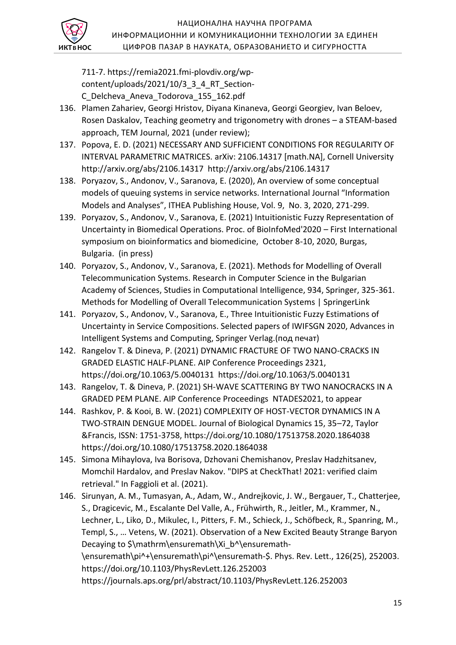

711-7. https://remia2021.fmi-plovdiv.org/wpcontent/uploads/2021/10/3\_3\_4\_RT\_Section-C\_Delcheva\_Aneva\_Todorova\_155\_162.pdf

- 136. Plamen Zahariev, Georgi Hristov, Diyana Kinaneva, Georgi Georgiev, Ivan Beloev, Rosen Daskalov, Teaching geometry and trigonometry with drones – a STEAM-based approach, TEM Journal, 2021 (under review);
- 137. Popova, E. D. (2021) NECESSARY AND SUFFICIENT CONDITIONS FOR REGULARITY OF INTERVAL PARAMETRIC MATRICES. arXiv: 2106.14317 [math.NA], Cornell University http://arxiv.org/abs/2106.14317 http://arxiv.org/abs/2106.14317
- 138. Poryazov, S., Andonov, V., Saranova, E. (2020), An overview of some conceptual models of queuing systems in service networks. International Journal "Information Models and Analyses", ITHEA Publishing House, Vol. 9, No. 3, 2020, 271-299.
- 139. Poryazov, S., Andonov, V., Saranova, E. (2021) Intuitionistic Fuzzy Representation of Uncertainty in Biomedical Operations. Proc. of BioInfoMed'2020 – First International symposium on bioinformatics and biomedicine, October 8-10, 2020, Burgas, Bulgaria. (in press)
- 140. Poryazov, S., Andonov, V., Saranova, E. (2021). Methods for Modelling of Overall Telecommunication Systems. Research in Computer Science in the Bulgarian Academy of Sciences, Studies in Computational Intelligence, 934, Springer, 325-361. Methods for Modelling of Overall Telecommunication Systems | SpringerLink
- 141. Poryazov, S., Andonov, V., Saranova, E., Three Intuitionistic Fuzzy Estimations of Uncertainty in Service Compositions. Selected papers of IWIFSGN 2020, Advances in Intelligent Systems and Computing, Springer Verlag.(под печат)
- 142. Rangelov T. & Dineva, P. (2021) DYNAMIC FRACTURE OF TWO NANO-CRACKS IN GRADED ELASTIC HALF-PLANE. AIP Conference Proceedings 2321, https://doi.org/10.1063/5.0040131 https://doi.org/10.1063/5.0040131
- 143. Rangelov, T. & Dineva, P. (2021) SH-WAVE SCATTERING BY TWO NANOCRACKS IN A GRADED PEM PLANE. AIP Conference Proceedings NTADES2021, to appear
- 144. Rashkov, P. & Kooi, B. W. (2021) COMPLEXITY OF HOST-VECTOR DYNAMICS IN A TWO-STRAIN DENGUE MODEL. Journal of Biological Dynamics 15, 35–72, Taylor &Francis, ISSN: 1751-3758, https://doi.org/10.1080/17513758.2020.1864038 https://doi.org/10.1080/17513758.2020.1864038
- 145. Simona Mihaylova, Iva Borisova, Dzhovani Chemishanov, Preslav Hadzhitsanev, Momchil Hardalov, and Preslav Nakov. "DIPS at CheckThat! 2021: verified claim retrieval." In Faggioli et al. (2021).
- 146. Sirunyan, A. M., Tumasyan, A., Adam, W., Andrejkovic, J. W., Bergauer, T., Chatterjee, S., Dragicevic, M., Escalante Del Valle, A., Frühwirth, R., Jeitler, M., Krammer, N., Lechner, L., Liko, D., Mikulec, I., Pitters, F. M., Schieck, J., Schöfbeck, R., Spanring, M., Templ, S., … Vetens, W. (2021). Observation of a New Excited Beauty Strange Baryon Decaying to \$\mathrm\ensuremath\Xi\_b^\ensuremath-\ensuremath\pi^+\ensuremath\pi^\ensuremath-\$. Phys. Rev. Lett., 126(25), 252003. https://doi.org/10.1103/PhysRevLett.126.252003 https://journals.aps.org/prl/abstract/10.1103/PhysRevLett.126.252003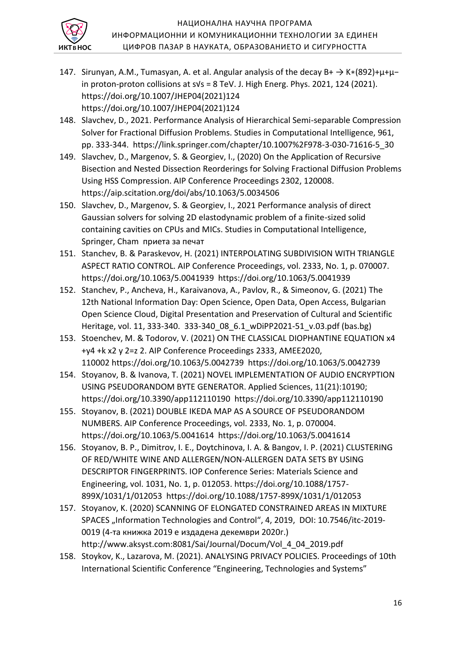

- 147. Sirunyan, A.M., Tumasyan, A. et al. Angular analysis of the decay B+  $\rightarrow$  K $*(892)+\mu+\mu$ in proton-proton collisions at s√s = 8 TeV. J. High Energ. Phys. 2021, 124 (2021). https://doi.org/10.1007/JHEP04(2021)124 https://doi.org/10.1007/JHEP04(2021)124
- 148. Slavchev, D., 2021. Performance Analysis of Hierarchical Semi-separable Compression Solver for Fractional Diffusion Problems. Studies in Computational Intelligence, 961, pp. 333-344. https://link.springer.com/chapter/10.1007%2F978-3-030-71616-5\_30
- 149. Slavchev, D., Margenov, S. & Georgiev, I., (2020) On the Application of Recursive Bisection and Nested Dissection Reorderings for Solving Fractional Diffusion Problems Using HSS Compression. AIP Conference Proceedings 2302, 120008. https://aip.scitation.org/doi/abs/10.1063/5.0034506
- 150. Slavchev, D., Margenov, S. & Georgiev, I., 2021 Performance analysis of direct Gaussian solvers for solving 2D elastodynamic problem of a finite-sized solid containing cavities on CPUs and MICs. Studies in Computational Intelligence, Springer, Cham приета за печат
- 151. Stanchev, B. & Paraskevov, H. (2021) INTERPOLATING SUBDIVISION WITH TRIANGLE ASPECT RATIO CONTROL. AIP Conference Proceedings, vol. 2333, No. 1, p. 070007. https://doi.org/10.1063/5.0041939 https://doi.org/10.1063/5.0041939
- 152. Stanchev, P., Ancheva, H., Karaivanova, A., Pavlov, R., & Simeonov, G. (2021) The 12th National Information Day: Open Science, Open Data, Open Access, Bulgarian Open Science Cloud, Digital Presentation and Preservation of Cultural and Scientific Heritage, vol. 11, 333-340. 333-340\_08\_6.1\_wDiPP2021-51\_v.03.pdf (bas.bg)
- 153. Stoenchev, M. & Todorov, V. (2021) ON THE CLASSICAL DIOPHANTINE EQUATION x4 +y4 +k x2 y 2=z 2. AIP Conference Proceedings 2333, AMEE2020, 110002 https://doi.org/10.1063/5.0042739 https://doi.org/10.1063/5.0042739
- 154. Stoyanov, B. & Ivanova, T. (2021) NOVEL IMPLEMENTATION OF AUDIO ENCRYPTION USING PSEUDORANDOM BYTE GENERATOR. Applied Sciences, 11(21):10190; https://doi.org/10.3390/app112110190 https://doi.org/10.3390/app112110190
- 155. Stoyanov, B. (2021) DOUBLE IKEDA MAP AS A SOURCE OF PSEUDORANDOM NUMBERS. AIP Conference Proceedings, vol. 2333, No. 1, p. 070004. https://doi.org/10.1063/5.0041614 https://doi.org/10.1063/5.0041614
- 156. Stoyanov, B. P., Dimitrov, I. E., Doytchinova, I. A. & Bangov, I. P. (2021) CLUSTERING OF RED/WHITE WINE AND ALLERGEN/NON-ALLERGEN DATA SETS BY USING DESCRIPTOR FINGERPRINTS. IOP Conference Series: Materials Science and Engineering, vol. 1031, No. 1, p. 012053. https://doi.org/10.1088/1757- 899X/1031/1/012053 https://doi.org/10.1088/1757-899X/1031/1/012053
- 157. Stoyanov, K. (2020) SCANNING OF ELONGATED CONSTRAINED AREAS IN MIXTURE SPACES "Information Technologies and Control", 4, 2019, DOI: 10.7546/itc-2019-0019 (4-та книжка 2019 е издадена декември 2020г.) http://www.aksyst.com:8081/Sai/Journal/Docum/Vol\_4\_04\_2019.pdf
- 158. Stoykov, K., Lazarova, M. (2021). ANALYSING PRIVACY POLICIES. Proceedings of 10th International Scientific Conference "Engineering, Technologies and Systems"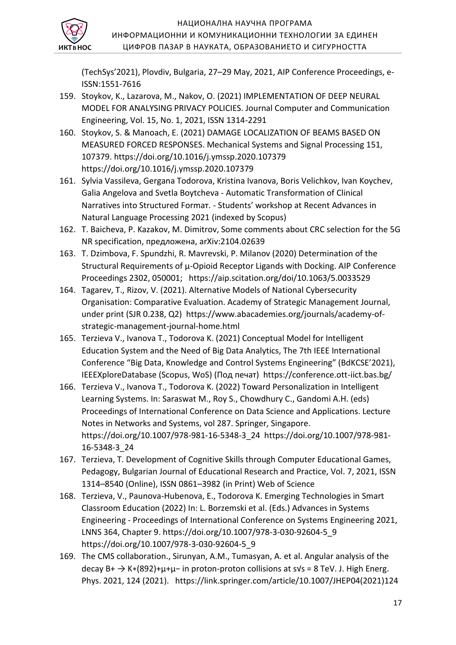

(TechSys'2021), Plovdiv, Bulgaria, 27–29 May, 2021, AIP Conference Proceedings, e-ISSN:1551-7616

- 159. Stoykov, K., Lazarova, M., Nakov, O. (2021) IMPLEMENTATION OF DEEP NEURAL MODEL FOR ANALYSING PRIVACY POLICIES. Journal Computer and Communication Engineering, Vol. 15, No. 1, 2021, ISSN 1314-2291
- 160. Stoykov, S. & Manoach, E. (2021) DAMAGE LOCALIZATION OF BEAMS BASED ON MEASURED FORCED RESPONSES. Mechanical Systems and Signal Processing 151, 107379. https://doi.org/10.1016/j.ymssp.2020.107379 https://doi.org/10.1016/j.ymssp.2020.107379
- 161. Sylvia Vassileva, Gergana Todorova, Kristina Ivanova, Boris Velichkov, Ivan Koychev, Galia Angelova and Svetla Boytcheva - Automatic Transformation of Clinical Narratives into Structured Formaт. - Students' workshop at Recent Advances in Natural Language Processing 2021 (indexed by Scopus)
- 162. T. Baicheva, P. Kazakov, M. Dimitrov, Some comments about CRC selection for the 5G NR specification, предложена, arXiv:2104.02639
- 163. T. Dzimbova, F. Spundzhi, R. Mavrevski, P. Milanov (2020) Determination of the Structural Requirements of μ-Opioid Receptor Ligands with Docking. AIP Conference Proceedings 2302, 050001; https://aip.scitation.org/doi/10.1063/5.0033529
- 164. Tagarev, T., Rizov, V. (2021). Alternative Models of National Cybersecurity Organisation: Comparative Evaluation. Academy of Strategic Management Journal, under print (SJR 0.238, Q2) https://www.abacademies.org/journals/academy-ofstrategic-management-journal-home.html
- 165. Terzieva V., Ivanova T., Todorova K. (2021) Conceptual Model for Intelligent Education System and the Need of Big Data Analytics, The 7th IEEE International Conference "Big Data, Knowledge and Control Systems Engineering" (BdKCSE'2021), IEEEXploreDatabase (Scopus, WoS) (Под печат) https://conference.ott-iict.bas.bg/
- 166. Terzieva V., Ivanova T., Todorova K. (2022) Toward Personalization in Intelligent Learning Systems. In: Saraswat M., Roy S., Chowdhury C., Gandomi A.H. (eds) Proceedings of International Conference on Data Science and Applications. Lecture Notes in Networks and Systems, vol 287. Springer, Singapore. https://doi.org/10.1007/978-981-16-5348-3\_24 https://doi.org/10.1007/978-981- 16-5348-3\_24
- 167. Terzieva, T. Development of Cognitive Skills through Computer Educational Games, Pedagogy, Bulgarian Journal of Educational Research and Practice, Vol. 7, 2021, ISSN 1314–8540 (Online), ISSN 0861–3982 (in Print) Web of Science
- 168. Terzieva, V., Paunova-Hubenova, E., Todorova K. Emerging Technologies in Smart Classroom Education (2022) In: L. Borzemski et al. (Eds.) Advances in Systems Engineering - Proceedings of International Conference on Systems Engineering 2021, LNNS 364, Chapter 9. https://doi.org/10.1007/978-3-030-92604-5\_9 https://doi.org/10.1007/978-3-030-92604-5\_9
- 169. The CMS collaboration., Sirunyan, A.M., Tumasyan, A. et al. Angular analysis of the decay B+ → K∗(892)+μ+μ− in proton-proton collisions at s√s = 8 TeV. J. High Energ. Phys. 2021, 124 (2021). https://link.springer.com/article/10.1007/JHEP04(2021)124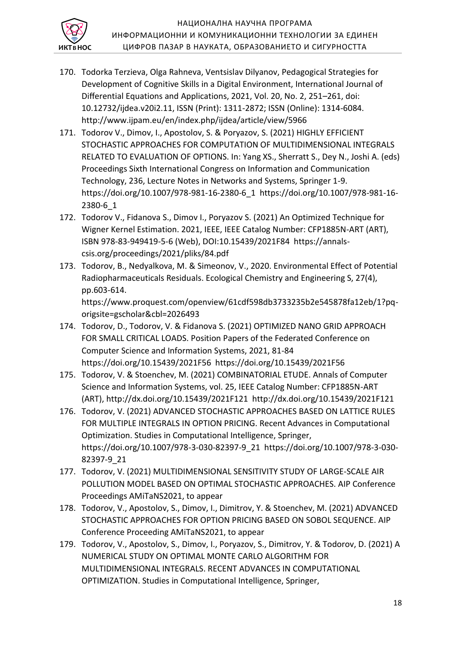

- 170. Todorka Terzieva, Olga Rahneva, Ventsislav Dilyanov, Pedagogical Strategies for Development of Cognitive Skills in a Digital Environment, International Journal of Differential Equations and Applications, 2021, Vol. 20, No. 2, 251–261, doi: 10.12732/ijdea.v20i2.11, ISSN (Print): 1311-2872; ISSN (Online): 1314-6084. http://www.ijpam.eu/en/index.php/ijdea/article/view/5966
- 171. Todorov V., Dimov, I., Apostolov, S. & Poryazov, S. (2021) HIGHLY EFFICIENT STOCHASTIC APPROACHES FOR COMPUTATION OF MULTIDIMENSIONAL INTEGRALS RELATED TO EVALUATION OF OPTIONS. In: Yang XS., Sherratt S., Dey N., Joshi A. (eds) Proceedings Sixth International Congress on Information and Communication Technology, 236, Lecture Notes in Networks and Systems, Springer 1-9. https://doi.org/10.1007/978-981-16-2380-6\_1 https://doi.org/10.1007/978-981-16- 2380-6\_1
- 172. Todorov V., Fidanova S., Dimov I., Poryazov S. (2021) An Optimized Technique for Wigner Kernel Estimation. 2021, IEEE, IEEE Catalog Number: CFP1885N-ART (ART), ISBN 978-83-949419-5-6 (Web), DOI:10.15439/2021F84 https://annalscsis.org/proceedings/2021/pliks/84.pdf
- 173. Todorov, B., Nedyalkova, M. & Simeonov, V., 2020. Environmental Effect of Potential Radiopharmaceuticals Residuals. Ecological Chemistry and Engineering S, 27(4), pp.603-614.

https://www.proquest.com/openview/61cdf598db3733235b2e545878fa12eb/1?pqorigsite=gscholar&cbl=2026493

- 174. Todorov, D., Todorov, V. & Fidanova S. (2021) OPTIMIZED NANO GRID APPROACH FOR SMALL CRITICAL LOADS. Position Papers of the Federated Conference on Computer Science and Information Systems, 2021, 81-84 https://doi.org/10.15439/2021F56 https://doi.org/10.15439/2021F56
- 175. Todorov, V. & Stoenchev, M. (2021) COMBINATORIAL ETUDE. Annals of Computer Science and Information Systems, vol. 25, IEEE Catalog Number: CFP1885N-ART (ART), http://dx.doi.org/10.15439/2021F121 http://dx.doi.org/10.15439/2021F121
- 176. Todorov, V. (2021) ADVANCED STOCHASTIC APPROACHES BASED ON LATTICE RULES FOR MULTIPLE INTEGRALS IN OPTION PRICING. Recent Advances in Computational Optimization. Studies in Computational Intelligence, Springer, https://doi.org/10.1007/978-3-030-82397-9\_21 https://doi.org/10.1007/978-3-030- 82397-9\_21
- 177. Todorov, V. (2021) MULTIDIMENSIONAL SENSITIVITY STUDY OF LARGE-SCALE AIR POLLUTION MODEL BASED ON OPTIMAL STOCHASTIC APPROACHES. AIP Conference Proceedings AMiTaNS2021, to appear
- 178. Todorov, V., Apostolov, S., Dimov, I., Dimitrov, Y. & Stoenchev, M. (2021) ADVANCED STOCHASTIC APPROACHES FOR OPTION PRICING BASED ON SOBOL SEQUENCE. AIP Conference Proceeding AMiTaNS2021, to appear
- 179. Todorov, V., Apostolov, S., Dimov, I., Poryazov, S., Dimitrov, Y. & Todorov, D. (2021) A NUMERICAL STUDY ON OPTIMAL MONTE CARLO ALGORITHM FOR MULTIDIMENSIONAL INTEGRALS. RECENT ADVANCES IN COMPUTATIONAL OPTIMIZATION. Studies in Computational Intelligence, Springer,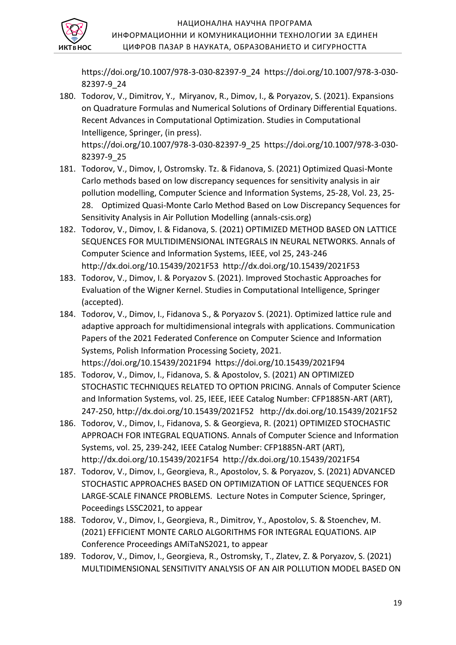

https://doi.org/10.1007/978-3-030-82397-9\_24 https://doi.org/10.1007/978-3-030- 82397-9\_24

- 180. Todorov, V., Dimitrov, Y., Miryanov, R., Dimov, I., & Poryazov, S. (2021). Expansions on Quadrature Formulas and Numerical Solutions of Ordinary Differential Equations. Recent Advances in Computational Optimization. Studies in Computational Intelligence, Springer, (in press). https://doi.org/10.1007/978-3-030-82397-9\_25 https://doi.org/10.1007/978-3-030- 82397-9\_25
- 181. Todorov, V., Dimov, I, Ostromsky. Tz. & Fidanova, S. (2021) Optimized Quasi-Monte Carlo methods based on low discrepancy sequences for sensitivity analysis in air pollution modelling, Computer Science and Information Systems, 25-28, Vol. 23, 25- 28. Optimized Quasi-Monte Carlo Method Based on Low Discrepancy Sequences for Sensitivity Analysis in Air Pollution Modelling (annals-csis.org)
- 182. Todorov, V., Dimov, I. & Fidanova, S. (2021) OPTIMIZED METHOD BASED ON LATTICE SEQUENCES FOR MULTIDIMENSIONAL INTEGRALS IN NEURAL NETWORKS. Annals of Computer Science and Information Systems, IEEE, vol 25, 243-246 http://dx.doi.org/10.15439/2021F53 http://dx.doi.org/10.15439/2021F53
- 183. Todorov, V., Dimov, I. & Poryazov S. (2021). Improved Stochastic Approaches for Evaluation of the Wigner Kernel. Studies in Computational Intelligence, Springer (accepted).
- 184. Todorov, V., Dimov, I., Fidanova S., & Poryazov S. (2021). Optimized lattice rule and adaptive approach for multidimensional integrals with applications. Communication Papers of the 2021 Federated Conference on Computer Science and Information Systems, Polish Information Processing Society, 2021. https://doi.org/10.15439/2021F94 https://doi.org/10.15439/2021F94
- 185. Todorov, V., Dimov, I., Fidanova, S. & Apostolov, S. (2021) AN OPTIMIZED STOCHASTIC TECHNIQUES RELATED TO OPTION PRICING. Annals of Computer Science and Information Systems, vol. 25, IEEE, IEEE Catalog Number: CFP1885N-ART (ART), 247-250, http://dx.doi.org/10.15439/2021F52 http://dx.doi.org/10.15439/2021F52
- 186. Todorov, V., Dimov, I., Fidanova, S. & Georgieva, R. (2021) OPTIMIZED STOCHASTIC APPROACH FOR INTEGRAL EQUATIONS. Annals of Computer Science and Information Systems, vol. 25, 239-242, IEEE Catalog Number: CFP1885N-ART (ART), http://dx.doi.org/10.15439/2021F54 http://dx.doi.org/10.15439/2021F54
- 187. Todorov, V., Dimov, I., Georgieva, R., Apostolov, S. & Poryazov, S. (2021) ADVANCED STOCHASTIC APPROACHES BASED ON OPTIMIZATION OF LATTICE SEQUENCES FOR LARGE-SCALE FINANCE PROBLEMS. Lecture Notes in Computer Science, Springer, Poceedings LSSC2021, to appear
- 188. Todorov, V., Dimov, I., Georgieva, R., Dimitrov, Y., Apostolov, S. & Stoenchev, M. (2021) EFFICIENT MONTE CARLO ALGORITHMS FOR INTEGRAL EQUATIONS. AIP Conference Proceedings AMiTaNS2021, to appear
- 189. Todorov, V., Dimov, I., Georgieva, R., Ostromsky, T., Zlatev, Z. & Poryazov, S. (2021) MULTIDIMENSIONAL SENSITIVITY ANALYSIS OF AN AIR POLLUTION MODEL BASED ON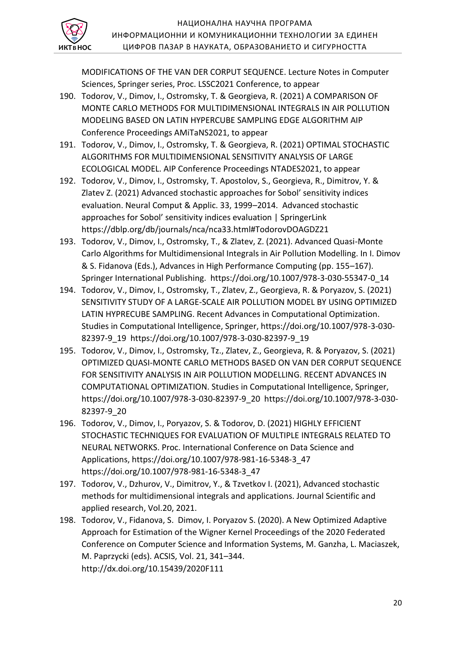

MODIFICATIONS OF THE VAN DER CORPUT SEQUENCE. Lecture Notes in Computer Sciences, Springer series, Proc. LSSC2021 Conference, to appear

- 190. Todorov, V., Dimov, I., Ostromsky, T. & Georgieva, R. (2021) A COMPARISON OF MONTE CARLO METHODS FOR MULTIDIMENSIONAL INTEGRALS IN AIR POLLUTION MODELING BASED ON LATIN HYPERCUBE SAMPLING EDGE ALGORITHM AIP Conference Proceedings AMiTaNS2021, to appear
- 191. Todorov, V., Dimov, I., Ostromsky, T. & Georgieva, R. (2021) OPTIMAL STOCHASTIC ALGORITHMS FOR MULTIDIMENSIONAL SENSITIVITY ANALYSIS OF LARGE ECOLOGICAL MODEL. AIP Conference Proceedings NTADES2021, to appear
- 192. Todorov, V., Dimov, I., Ostromsky, T. Apostolov, S., Georgieva, R., Dimitrov, Y. & Zlatev Z. (2021) Advanced stochastic approaches for Sobol' sensitivity indices evaluation. Neural Comput & Applic. 33, 1999–2014. Advanced stochastic approaches for Sobol' sensitivity indices evaluation | SpringerLink https://dblp.org/db/journals/nca/nca33.html#TodorovDOAGDZ21
- 193. Todorov, V., Dimov, I., Ostromsky, T., & Zlatev, Z. (2021). Advanced Quasi-Monte Carlo Algorithms for Multidimensional Integrals in Air Pollution Modelling. In I. Dimov & S. Fidanova (Eds.), Advances in High Performance Computing (pp. 155–167). Springer International Publishing. https://doi.org/10.1007/978-3-030-55347-0\_14
- 194. Todorov, V., Dimov, I., Ostromsky, T., Zlatev, Z., Georgieva, R. & Poryazov, S. (2021) SENSITIVITY STUDY OF A LARGE-SCALE AIR POLLUTION MODEL BY USING OPTIMIZED LATIN HYPRECUBE SAMPLING. Recent Advances in Computational Optimization. Studies in Computational Intelligence, Springer, https://doi.org/10.1007/978-3-030- 82397-9\_19 https://doi.org/10.1007/978-3-030-82397-9\_19
- 195. Todorov, V., Dimov, I., Ostromsky, Tz., Zlatev, Z., Georgieva, R. & Poryazov, S. (2021) OPTIMIZED QUASI-MONTE CARLO METHODS BASED ON VAN DER CORPUT SEQUENCE FOR SENSITIVITY ANALYSIS IN AIR POLLUTION MODELLING. RECENT ADVANCES IN COMPUTATIONAL OPTIMIZATION. Studies in Computational Intelligence, Springer, https://doi.org/10.1007/978-3-030-82397-9\_20 https://doi.org/10.1007/978-3-030- 82397-9\_20
- 196. Todorov, V., Dimov, I., Poryazov, S. & Todorov, D. (2021) HIGHLY EFFICIENT STOCHASTIC TECHNIQUES FOR EVALUATION OF MULTIPLE INTEGRALS RELATED TO NEURAL NETWORKS. Proc. International Conference on Data Science and Applications, https://doi.org/10.1007/978-981-16-5348-3\_47 https://doi.org/10.1007/978-981-16-5348-3\_47
- 197. Todorov, V., Dzhurov, V., Dimitrov, Y., & Tzvetkov I. (2021), Advanced stochastic methods for multidimensional integrals and applications. Journal Scientific and applied research, Vol.20, 2021.
- 198. Todorov, V., Fidanova, S. Dimov, I. Poryazov S. (2020). A New Optimized Adaptive Approach for Estimation of the Wigner Kernel Proceedings of the 2020 Federated Conference on Computer Science and Information Systems, M. Ganzha, L. Maciaszek, M. Paprzycki (eds). ACSIS, Vol. 21, 341–344. http://dx.doi.org/10.15439/2020F111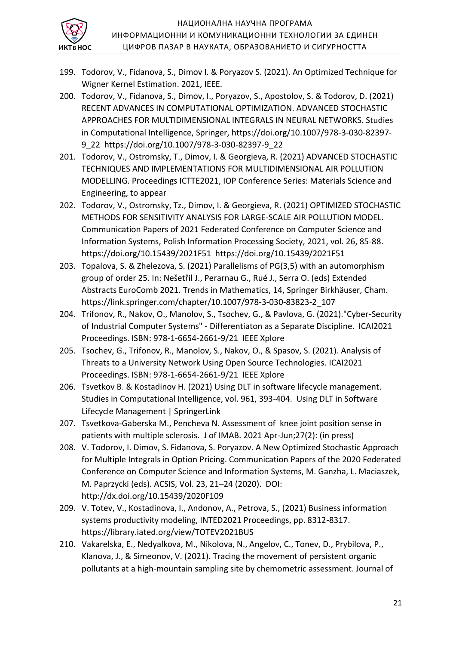

- 199. Todorov, V., Fidanova, S., Dimov I. & Poryazov S. (2021). An Optimized Technique for Wigner Kernel Estimation. 2021, IEEE.
- 200. Todorov, V., Fidanova, S., Dimov, I., Poryazov, S., Apostolov, S. & Todorov, D. (2021) RECENT ADVANCES IN COMPUTATIONAL OPTIMIZATION. ADVANCED STOCHASTIC APPROACHES FOR MULTIDIMENSIONAL INTEGRALS IN NEURAL NETWORKS. Studies in Computational Intelligence, Springer, https://doi.org/10.1007/978-3-030-82397- 9\_22 https://doi.org/10.1007/978-3-030-82397-9\_22
- 201. Todorov, V., Ostromsky, T., Dimov, I. & Georgieva, R. (2021) ADVANCED STOCHASTIC TECHNIQUES AND IMPLEMENTATIONS FOR MULTIDIMENSIONAL AIR POLLUTION MODELLING. Proceedings ICTTE2021, IOP Conference Series: Materials Science and Engineering, to appear
- 202. Todorov, V., Ostromsky, Tz., Dimov, I. & Georgieva, R. (2021) OPTIMIZED STOCHASTIC METHODS FOR SENSITIVITY ANALYSIS FOR LARGE-SCALE AIR POLLUTION MODEL. Communication Papers of 2021 Federated Conference on Computer Science and Information Systems, Polish Information Processing Society, 2021, vol. 26, 85-88. https://doi.org/10.15439/2021F51 https://doi.org/10.15439/2021F51
- 203. Topalova, S. & Zhelezova, S. (2021) Parallelisms of PG(3,5) with an automorphism group of order 25. In: Nešetřil J., Perarnau G., Rué J., Serra O. (eds) Extended Abstracts EuroComb 2021. Trends in Mathematics, 14, Springer Birkhäuser, Cham. https://link.springer.com/chapter/10.1007/978-3-030-83823-2\_107
- 204. Trifonov, R., Nakov, O., Manolov, S., Tsochev, G., & Pavlova, G. (2021)."Cyber-Security of Industrial Computer Systems" - Differentiaton as a Separate Discipline. ICAI2021 Proceedings. ISBN: 978-1-6654-2661-9/21 IEEE Xplore
- 205. Tsochev, G., Trifonov, R., Manolov, S., Nakov, O., & Spasov, S. (2021). Analysis of Threats to a University Network Using Open Source Technologies. ICAI2021 Proceedings. ISBN: 978-1-6654-2661-9/21 IEEE Xplore
- 206. Tsvetkov B. & Kostadinov H. (2021) Using DLT in software lifecycle management. Studies in Computational Intelligence, vol. 961, 393-404. Using DLT in Software Lifecycle Management | SpringerLink
- 207. Tsvetkova-Gaberska M., Pencheva N. Assessment of knee joint position sense in patients with multiple sclerosis. J of IMAB. 2021 Apr-Jun;27(2): (in press)
- 208. V. Todorov, I. Dimov, S. Fidanova, S. Poryazov. A New Optimized Stochastic Approach for Multiple Integrals in Option Pricing. Communication Papers of the 2020 Federated Conference on Computer Science and Information Systems, M. Ganzha, L. Maciaszek, M. Paprzycki (eds). ACSIS, Vol. 23, 21–24 (2020). DOI: http://dx.doi.org/10.15439/2020F109
- 209. V. Totev, V., Kostadinova, I., Andonov, A., Petrova, S., (2021) Business information systems productivity modeling, INTED2021 Proceedings, pp. 8312-8317. https://library.iated.org/view/TOTEV2021BUS
- 210. Vakarelska, E., Nedyalkova, M., Nikolova, N., Angelov, C., Tonev, D., Prybilova, P., Klanova, J., & Simeonov, V. (2021). Tracing the movement of persistent organic pollutants at a high-mountain sampling site by chemometric assessment. Journal of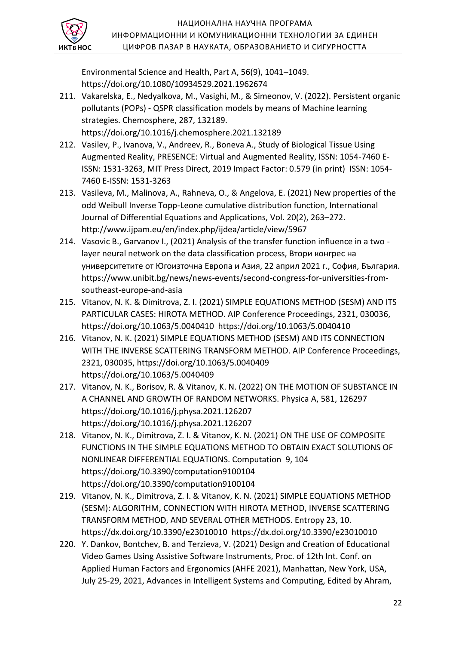

Environmental Science and Health, Part A, 56(9), 1041–1049. https://doi.org/10.1080/10934529.2021.1962674

- 211. Vakarelska, E., Nedyalkova, M., Vasighi, M., & Simeonov, V. (2022). Persistent organic pollutants (POPs) - QSPR classification models by means of Machine learning strategies. Chemosphere, 287, 132189. https://doi.org/10.1016/j.chemosphere.2021.132189
- 212. Vasilev, P., Ivanova, V., Andreev, R., Boneva A., Study of Biological Tissue Using Augmented Reality, PRESENCE: Virtual and Augmented Reality, ISSN: 1054-7460 E-ISSN: 1531-3263, MIT Press Direct, 2019 Impact Factor: 0.579 (in print) ISSN: 1054- 7460 E-ISSN: 1531-3263
- 213. Vasileva, М., Malinova, A., Rahneva, O., & Angelova, E. (2021) New properties of the odd Weibull Inverse Topp-Leone cumulative distribution function, International Journal of Differential Equations and Applications, Vol. 20(2), 263–272. http://www.ijpam.eu/en/index.php/ijdea/article/view/5967
- 214. Vasovic B., Garvanov I., (2021) Analysis of the transfer function influence in a two layer neural network on the data classification process, Втори конгрес на университетите от Югоизточна Европа и Азия, 22 април 2021 г., София, България. https://www.unibit.bg/news/news-events/second-congress-for-universities-fromsoutheast-europe-and-asia
- 215. Vitanov, N. K. & Dimitrova, Z. I. (2021) SIMPLE EQUATIONS METHOD (SESM) AND ITS PARTICULAR CASES: HIROTA METHOD. AIP Conference Proceedings, 2321, 030036, https://doi.org/10.1063/5.0040410 https://doi.org/10.1063/5.0040410
- 216. Vitanov, N. K. (2021) SIMPLE EQUATIONS METHOD (SESM) AND ITS CONNECTION WITH THE INVERSE SCATTERING TRANSFORM METHOD. AIP Conference Proceedings, 2321, 030035, https://doi.org/10.1063/5.0040409 https://doi.org/10.1063/5.0040409
- 217. Vitanov, N. K., Borisov, R. & Vitanov, K. N. (2022) ON THE MOTION OF SUBSTANCE IN A CHANNEL AND GROWTH OF RANDOM NETWORKS. Physica A, 581, 126297 https://doi.org/10.1016/j.physa.2021.126207 https://doi.org/10.1016/j.physa.2021.126207
- 218. Vitanov, N. K., Dimitrova, Z. I. & Vitanov, K. N. (2021) ON THE USE OF COMPOSITE FUNCTIONS IN THE SIMPLE EQUATIONS METHOD TO OBTAIN EXACT SOLUTIONS OF NONLINEAR DIFFERENTIAL EQUATIONS. Computation 9, 104 https://doi.org/10.3390/computation9100104 https://doi.org/10.3390/computation9100104
- 219. Vitanov, N. K., Dimitrova, Z. I. & Vitanov, K. N. (2021) SIMPLE EQUATIONS METHOD (SESM): ALGORITHM, CONNECTION WITH HIROTA METHOD, INVERSE SCATTERING TRANSFORM METHOD, AND SEVERAL OTHER METHODS. Entropy 23, 10. https://dx.doi.org/10.3390/e23010010 https://dx.doi.org/10.3390/e23010010
- 220. Y. Dankov, Bontchev, B. and Terzieva, V. (2021) Design and Creation of Educational Video Games Using Assistive Software Instruments, Proc. of 12th Int. Conf. on Applied Human Factors and Ergonomics (AHFE 2021), Manhattan, New York, USA, July 25-29, 2021, Advances in Intelligent Systems and Computing, Edited by Ahram,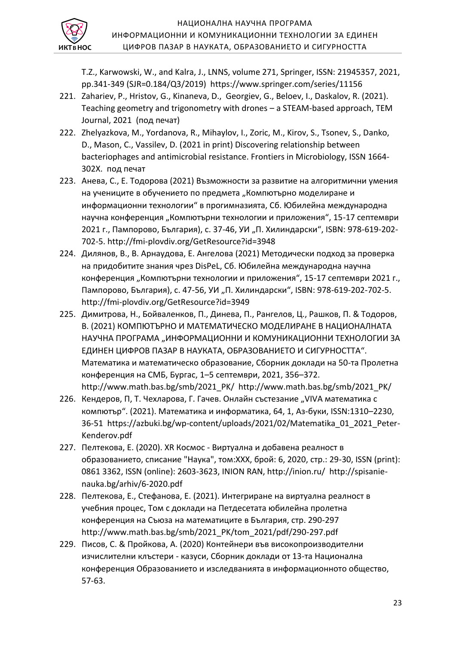

T.Z., Karwowski, W., and Kalra, J., LNNS, volume 271, Springer, ISSN: 21945357, 2021, pp.341-349 (SJR=0.184/Q3/2019) https://www.springer.com/series/11156

- 221. Zahariev, P., Hristov, G., Kinaneva, D., Georgiev, G., Beloev, I., Daskalov, R. (2021). Teaching geometry and trigonometry with drones – a STEAM-based approach, TEM Journal, 2021 (под печат)
- 222. Zhelyazkova, M., Yordanova, R., Mihaylov, I., Zoric, M., Kirov, S., Tsonev, S., Danko, D., Mason, C., Vassilev, D. (2021 in print) Discovering relationship between bacteriophages and antimicrobial resistance. Frontiers in Microbiology, ISSN 1664- 302X. под печат
- 223. Анева, С., Е. Тодорова (2021) Възможности за развитие на алгоритмични умения на учениците в обучението по предмета "Компютърно моделиране и информационни технологии" в прогимназията, Сб. Юбилейна международна научна конференция "Компютърни технологии и приложения", 15-17 септември 2021 г., Пампорово, България), с. 37-46, УИ "П. Хилиндарски", ISBN: 978-619-202-702-5. http://fmi-plovdiv.org/GetResource?id=3948
- 224. Дилянов, В., В. Арнаудова, Е. Ангелова (2021) Методически подход за проверка на придобитите знания чрез DisPeL, Сб. Юбилейна международна научна конференция "Компютърни технологии и приложения", 15-17 септември 2021 г., Пампорово, България), с. 47-56, УИ "П. Хилиндарски", ISBN: 978-619-202-702-5. http://fmi-plovdiv.org/GetResource?id=3949
- 225. Димитрова, Н., Бойваленков, П., Динева, П., Рангелов, Ц., Рашков, П. & Тодоров, В. (2021) КОМПЮТЪРНО И МАТЕМАТИЧЕСКО МОДЕЛИРАНЕ В НАЦИОНАЛНАТА НАУЧНА ПРОГРАМА "ИНФОРМАЦИОННИ И КОМУНИКАЦИОННИ ТЕХНОЛОГИИ ЗА ЕДИНЕН ЦИФРОВ ПАЗАР В НАУКАТА, ОБРАЗОВАНИЕТО И СИГУРНОСТТА". Математика и математическо образование, Сборник доклади на 50-та Пролетна конференция на СМБ, Бургас, 1–5 септември, 2021, 356–372. http://www.math.bas.bg/smb/2021\_PK/ http://www.math.bas.bg/smb/2021\_PK/
- 226. Кендеров, П, Т. Чехларова, Г. Гачев. Онлайн състезание "VIVA математика с компютър". (2021). Математика и информатика, 64, 1, Аз-буки, ISSN:1310–2230, 36-51 https://azbuki.bg/wp-content/uploads/2021/02/Matematika\_01\_2021\_Peter-Kenderov.pdf
- 227. Пелтекова, E. (2020). XR Космос Виртуална и добавена реалност в образованието, списание "Наука", том:ХХХ, брой: 6, 2020, стр.: 29-30, ISSN (print): 0861 3362, ISSN (online): 2603-3623, INION RAN, http://inion.ru/ http://spisanienauka.bg/arhiv/6-2020.pdf
- 228. Пелтекова, Е., Стефанова, Е. (2021). Интегриране на виртуална реалност в учебния процес, Том с доклади на Петдесетата юбилейна пролетна конференция на Съюза на математиците в България, стр. 290-297 http://www.math.bas.bg/smb/2021\_PK/tom\_2021/pdf/290-297.pdf
- 229. Писов, С. & Пройкова, А. (2020) Контейнери във високопроизводителни изчислителни клъстери - казуси, Сборник доклади от 13-та Национална конференция Образованието и изследванията в информационното общество, 57-63.